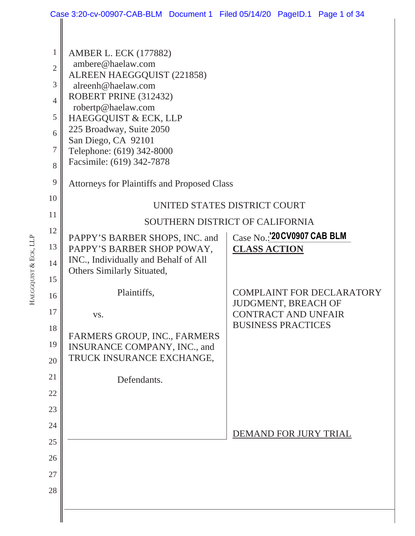|                | Case 3:20-cv-00907-CAB-BLM Document 1 Filed 05/14/20 PageID.1 Page 1 of 34 |                                                         |  |  |  |  |  |  |  |
|----------------|----------------------------------------------------------------------------|---------------------------------------------------------|--|--|--|--|--|--|--|
|                |                                                                            |                                                         |  |  |  |  |  |  |  |
| $\mathbf{1}$   | <b>AMBER L. ECK (177882)</b>                                               |                                                         |  |  |  |  |  |  |  |
| $\overline{2}$ | ambere@haelaw.com<br>ALREEN HAEGGQUIST (221858)                            |                                                         |  |  |  |  |  |  |  |
| 3              | alreenh@haelaw.com                                                         |                                                         |  |  |  |  |  |  |  |
| $\overline{4}$ | ROBERT PRINE (312432)                                                      |                                                         |  |  |  |  |  |  |  |
| 5              | robertp@haelaw.com<br>HAEGGQUIST & ECK, LLP                                |                                                         |  |  |  |  |  |  |  |
| 6              | 225 Broadway, Suite 2050                                                   |                                                         |  |  |  |  |  |  |  |
| $\tau$         | San Diego, CA 92101<br>Telephone: (619) 342-8000                           |                                                         |  |  |  |  |  |  |  |
| 8              | Facsimile: (619) 342-7878                                                  |                                                         |  |  |  |  |  |  |  |
| 9              | <b>Attorneys for Plaintiffs and Proposed Class</b>                         |                                                         |  |  |  |  |  |  |  |
| 10             | UNITED STATES DISTRICT COURT                                               |                                                         |  |  |  |  |  |  |  |
| 11             | SOUTHERN DISTRICT OF CALIFORNIA                                            |                                                         |  |  |  |  |  |  |  |
| 12             | PAPPY'S BARBER SHOPS, INC. and                                             | Case No.: 20 CV0907 CAB BLM                             |  |  |  |  |  |  |  |
| 13             | PAPPY'S BARBER SHOP POWAY,                                                 | <b>CLASS ACTION</b>                                     |  |  |  |  |  |  |  |
| 14             | INC., Individually and Behalf of All                                       |                                                         |  |  |  |  |  |  |  |
| 15             | Others Similarly Situated,                                                 |                                                         |  |  |  |  |  |  |  |
| 16             | Plaintiffs,                                                                | <b>COMPLAINT FOR DECLARATORY</b><br>JUDGMENT, BREACH OF |  |  |  |  |  |  |  |
| 17             | VS.                                                                        | <b>CONTRACT AND UNFAIR</b>                              |  |  |  |  |  |  |  |
| 18             | FARMERS GROUP, INC., FARMERS                                               | <b>BUSINESS PRACTICES</b>                               |  |  |  |  |  |  |  |
| 19             | INSURANCE COMPANY, INC., and                                               |                                                         |  |  |  |  |  |  |  |
| 20             | TRUCK INSURANCE EXCHANGE,                                                  |                                                         |  |  |  |  |  |  |  |
| 21             | Defendants.                                                                |                                                         |  |  |  |  |  |  |  |
| 22             |                                                                            |                                                         |  |  |  |  |  |  |  |
| 23             |                                                                            |                                                         |  |  |  |  |  |  |  |
| 24             |                                                                            |                                                         |  |  |  |  |  |  |  |
| 25             |                                                                            | DEMAND FOR JURY TRIAL                                   |  |  |  |  |  |  |  |
| 26             |                                                                            |                                                         |  |  |  |  |  |  |  |
| 27             |                                                                            |                                                         |  |  |  |  |  |  |  |
| 28             |                                                                            |                                                         |  |  |  |  |  |  |  |
|                |                                                                            |                                                         |  |  |  |  |  |  |  |
|                |                                                                            |                                                         |  |  |  |  |  |  |  |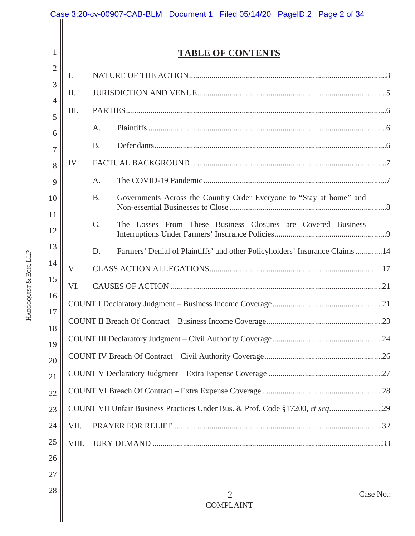|                     |                | Case 3:20-cv-00907-CAB-BLM Document 1 Filed 05/14/20 PageID.2 Page 2 of 34        |  |  |  |  |  |  |
|---------------------|----------------|-----------------------------------------------------------------------------------|--|--|--|--|--|--|
|                     | 1              | <b>TABLE OF CONTENTS</b>                                                          |  |  |  |  |  |  |
|                     | $\overline{2}$ | Ι.                                                                                |  |  |  |  |  |  |
|                     | 3              | II.                                                                               |  |  |  |  |  |  |
|                     | 4              | III.                                                                              |  |  |  |  |  |  |
|                     | 5<br>6         | A.                                                                                |  |  |  |  |  |  |
|                     | 7              | <b>B.</b>                                                                         |  |  |  |  |  |  |
|                     | 8              | IV.                                                                               |  |  |  |  |  |  |
|                     | 9              | A.                                                                                |  |  |  |  |  |  |
|                     | 10             | Governments Across the Country Order Everyone to "Stay at home" and<br><b>B.</b>  |  |  |  |  |  |  |
|                     | 11             |                                                                                   |  |  |  |  |  |  |
|                     | 12             | $\mathcal{C}$ .<br>The Losses From These Business Closures are Covered Business   |  |  |  |  |  |  |
|                     | 13             | Farmers' Denial of Plaintiffs' and other Policyholders' Insurance Claims 14<br>D. |  |  |  |  |  |  |
|                     | 14             | V.                                                                                |  |  |  |  |  |  |
| EGGQUIST & ECK, LLP | 15             | VI.                                                                               |  |  |  |  |  |  |
|                     | 16             |                                                                                   |  |  |  |  |  |  |
| 보                   | 17<br>18       |                                                                                   |  |  |  |  |  |  |
|                     | 19             |                                                                                   |  |  |  |  |  |  |
|                     | 20             |                                                                                   |  |  |  |  |  |  |
|                     | 21             |                                                                                   |  |  |  |  |  |  |
|                     | 22             |                                                                                   |  |  |  |  |  |  |
|                     | 23             | COUNT VII Unfair Business Practices Under Bus. & Prof. Code §17200, et seq29      |  |  |  |  |  |  |
|                     | 24             | VII.                                                                              |  |  |  |  |  |  |
|                     | 25             | VIII.                                                                             |  |  |  |  |  |  |
|                     | 26             |                                                                                   |  |  |  |  |  |  |
|                     | 27             |                                                                                   |  |  |  |  |  |  |
|                     | 28             | Case No.:<br>2                                                                    |  |  |  |  |  |  |
|                     |                | <b>COMPLAINT</b>                                                                  |  |  |  |  |  |  |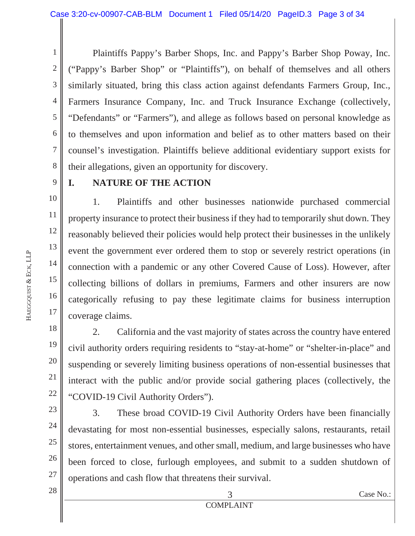1 2 3 4 5 6 7 8 Plaintiffs Pappy's Barber Shops, Inc. and Pappy's Barber Shop Poway, Inc. ("Pappy's Barber Shop" or "Plaintiffs"), on behalf of themselves and all others similarly situated, bring this class action against defendants Farmers Group, Inc., Farmers Insurance Company, Inc. and Truck Insurance Exchange (collectively, "Defendants" or "Farmers"), and allege as follows based on personal knowledge as to themselves and upon information and belief as to other matters based on their counsel's investigation. Plaintiffs believe additional evidentiary support exists for their allegations, given an opportunity for discovery.

9

## **I. NATURE OF THE ACTION**

10 11 12 13 14 15 16 17 1. Plaintiffs and other businesses nationwide purchased commercial property insurance to protect their business if they had to temporarily shut down. They reasonably believed their policies would help protect their businesses in the unlikely event the government ever ordered them to stop or severely restrict operations (in connection with a pandemic or any other Covered Cause of Loss). However, after collecting billions of dollars in premiums, Farmers and other insurers are now categorically refusing to pay these legitimate claims for business interruption coverage claims.

2. California and the vast majority of states across the country have entered civil authority orders requiring residents to "stay-at-home" or "shelter-in-place" and suspending or severely limiting business operations of non-essential businesses that interact with the public and/or provide social gathering places (collectively, the "COVID-19 Civil Authority Orders").

23 24 25 26 27 3. These broad COVID-19 Civil Authority Orders have been financially devastating for most non-essential businesses, especially salons, restaurants, retail stores, entertainment venues, and other small, medium, and large businesses who have been forced to close, furlough employees, and submit to a sudden shutdown of operations and cash flow that threatens their survival.

**HAEGGQUIST** & ECK, LLP

18

19

20

21

22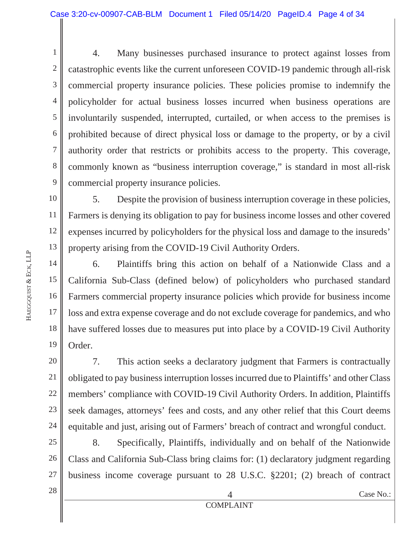2 3 4 5 6 7 8 9 4. Many businesses purchased insurance to protect against losses from catastrophic events like the current unforeseen COVID-19 pandemic through all-risk commercial property insurance policies. These policies promise to indemnify the policyholder for actual business losses incurred when business operations are involuntarily suspended, interrupted, curtailed, or when access to the premises is prohibited because of direct physical loss or damage to the property, or by a civil authority order that restricts or prohibits access to the property. This coverage, commonly known as "business interruption coverage," is standard in most all-risk commercial property insurance policies.

10 11 12 13 5. Despite the provision of business interruption coverage in these policies, Farmers is denying its obligation to pay for business income losses and other covered expenses incurred by policyholders for the physical loss and damage to the insureds' property arising from the COVID-19 Civil Authority Orders.

14 15 16 17 18 19 6. Plaintiffs bring this action on behalf of a Nationwide Class and a California Sub-Class (defined below) of policyholders who purchased standard Farmers commercial property insurance policies which provide for business income loss and extra expense coverage and do not exclude coverage for pandemics, and who have suffered losses due to measures put into place by a COVID-19 Civil Authority Order.

20 22 23 24 7. This action seeks a declaratory judgment that Farmers is contractually obligated to pay business interruption losses incurred due to Plaintiffs' and other Class members' compliance with COVID-19 Civil Authority Orders. In addition, Plaintiffs seek damages, attorneys' fees and costs, and any other relief that this Court deems equitable and just, arising out of Farmers' breach of contract and wrongful conduct.

25 26 27 8. Specifically, Plaintiffs, individually and on behalf of the Nationwide Class and California Sub-Class bring claims for: (1) declaratory judgment regarding business income coverage pursuant to 28 U.S.C. §2201; (2) breach of contract

**HAEGGQUIST** & ECK, LLP

1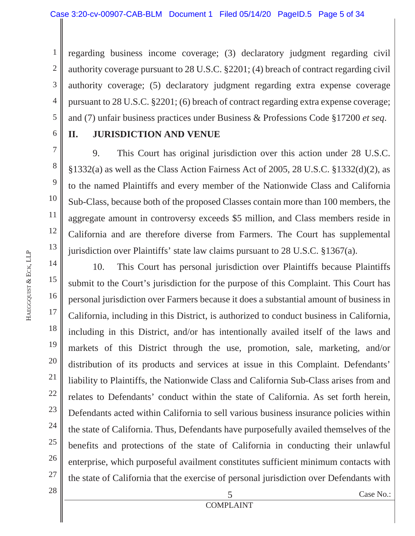1 2 3 4 5 regarding business income coverage; (3) declaratory judgment regarding civil authority coverage pursuant to 28 U.S.C. §2201; (4) breach of contract regarding civil authority coverage; (5) declaratory judgment regarding extra expense coverage pursuant to 28 U.S.C. §2201; (6) breach of contract regarding extra expense coverage; and (7) unfair business practices under Business & Professions Code §17200 *et seq*.

6 7

8

9

10

11

12

13

## **II. JURISDICTION AND VENUE**

9. This Court has original jurisdiction over this action under 28 U.S.C. §1332(a) as well as the Class Action Fairness Act of 2005, 28 U.S.C. §1332(d)(2), as to the named Plaintiffs and every member of the Nationwide Class and California Sub-Class, because both of the proposed Classes contain more than 100 members, the aggregate amount in controversy exceeds \$5 million, and Class members reside in California and are therefore diverse from Farmers. The Court has supplemental jurisdiction over Plaintiffs' state law claims pursuant to 28 U.S.C. §1367(a).

14 15 16 17 18 19 20 21 22 23 24 25 26 27 28 10. This Court has personal jurisdiction over Plaintiffs because Plaintiffs submit to the Court's jurisdiction for the purpose of this Complaint. This Court has personal jurisdiction over Farmers because it does a substantial amount of business in California, including in this District, is authorized to conduct business in California, including in this District, and/or has intentionally availed itself of the laws and markets of this District through the use, promotion, sale, marketing, and/or distribution of its products and services at issue in this Complaint. Defendants' liability to Plaintiffs, the Nationwide Class and California Sub-Class arises from and relates to Defendants' conduct within the state of California. As set forth herein, Defendants acted within California to sell various business insurance policies within the state of California. Thus, Defendants have purposefully availed themselves of the benefits and protections of the state of California in conducting their unlawful enterprise, which purposeful availment constitutes sufficient minimum contacts with the state of California that the exercise of personal jurisdiction over Defendants with

COMPLAINT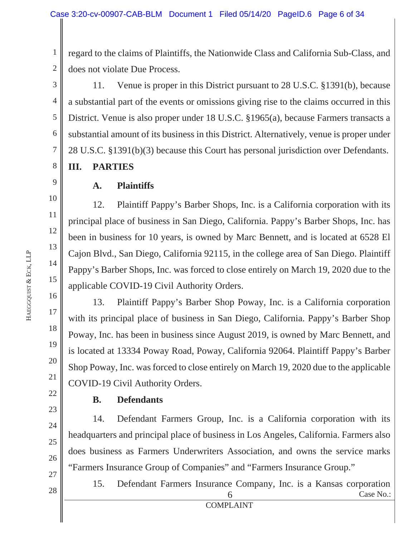1 2 regard to the claims of Plaintiffs, the Nationwide Class and California Sub-Class, and does not violate Due Process.

3 4 5 6 7 8 11. Venue is proper in this District pursuant to 28 U.S.C. §1391(b), because a substantial part of the events or omissions giving rise to the claims occurred in this District. Venue is also proper under 18 U.S.C. §1965(a), because Farmers transacts a substantial amount of its business in this District. Alternatively, venue is proper under 28 U.S.C. §1391(b)(3) because this Court has personal jurisdiction over Defendants.

#### **III. PARTIES**

**A. Plaintiffs** 

12. Plaintiff Pappy's Barber Shops, Inc. is a California corporation with its principal place of business in San Diego, California. Pappy's Barber Shops, Inc. has been in business for 10 years, is owned by Marc Bennett, and is located at 6528 El Cajon Blvd., San Diego, California 92115, in the college area of San Diego. Plaintiff Pappy's Barber Shops, Inc. was forced to close entirely on March 19, 2020 due to the applicable COVID-19 Civil Authority Orders.

13. Plaintiff Pappy's Barber Shop Poway, Inc. is a California corporation with its principal place of business in San Diego, California. Pappy's Barber Shop Poway, Inc. has been in business since August 2019, is owned by Marc Bennett, and is located at 13334 Poway Road, Poway, California 92064. Plaintiff Pappy's Barber Shop Poway, Inc. was forced to close entirely on March 19, 2020 due to the applicable COVID-19 Civil Authority Orders.

22

## **B. Defendants**

14. Defendant Farmers Group, Inc. is a California corporation with its headquarters and principal place of business in Los Angeles, California. Farmers also does business as Farmers Underwriters Association, and owns the service marks "Farmers Insurance Group of Companies" and "Farmers Insurance Group."

 $\begin{array}{c|c}\n 28 & \text{Case No.}: \\
 \hline\n 6 & \text{Case No.}: \\
 \end{array}$  COMPLAINT 15. Defendant Farmers Insurance Company, Inc. is a Kansas corporation

9

10

11

12

13

14

15

16

17

18

19

20

21

23

24

25

26 27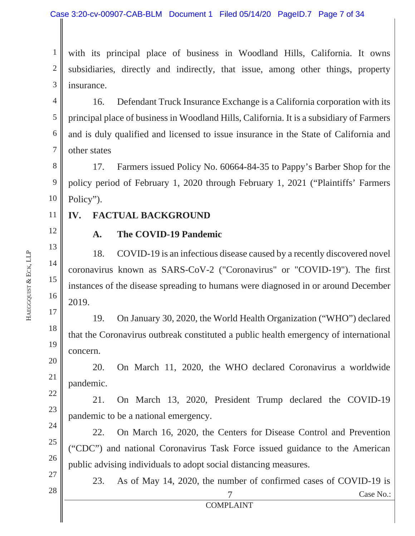1 2 3 with its principal place of business in Woodland Hills, California. It owns subsidiaries, directly and indirectly, that issue, among other things, property insurance.

4 5 6 7 16. Defendant Truck Insurance Exchange is a California corporation with its principal place of business in Woodland Hills, California. It is a subsidiary of Farmers and is duly qualified and licensed to issue insurance in the State of California and other states

8 9 10 17. Farmers issued Policy No. 60664-84-35 to Pappy's Barber Shop for the policy period of February 1, 2020 through February 1, 2021 ("Plaintiffs' Farmers Policy").

#### **IV. FACTUAL BACKGROUND**

12

13

14

15

16

20

21

22

23

24

25

26

27

28

11

#### **A. The COVID-19 Pandemic**

18. COVID-19 is an infectious disease caused by a recently discovered novel coronavirus known as SARS-CoV-2 ("Coronavirus" or "COVID-19"). The first instances of the disease spreading to humans were diagnosed in or around December 2019.

17 18 19 19. On January 30, 2020, the World Health Organization ("WHO") declared that the Coronavirus outbreak constituted a public health emergency of international concern.

20. On March 11, 2020, the WHO declared Coronavirus a worldwide pandemic.

21. On March 13, 2020, President Trump declared the COVID-19 pandemic to be a national emergency.

22. On March 16, 2020, the Centers for Disease Control and Prevention ("CDC") and national Coronavirus Task Force issued guidance to the American public advising individuals to adopt social distancing measures.

 $\begin{array}{c|c}\n 28 & \text{Case No.}: \\
 \hline\n 7 & \text{Case No.}: \\
 \end{array}$ 23. As of May 14, 2020, the number of confirmed cases of COVID-19 is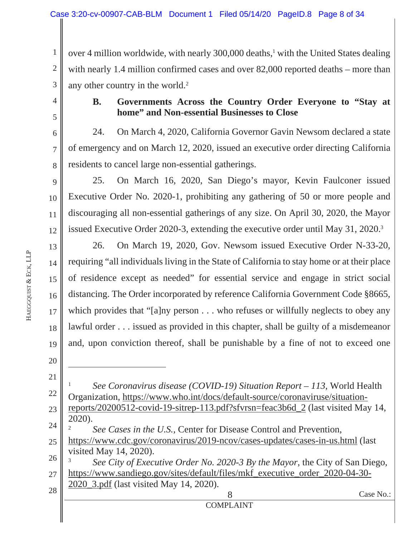1 2 3 over 4 million worldwide, with nearly 300,000 deaths,<sup>1</sup> with the United States dealing with nearly 1.4 million confirmed cases and over 82,000 reported deaths – more than any other country in the world.<sup>2</sup>

4

5

6

7

8

10

11

12

#### **B. Governments Across the Country Order Everyone to "Stay at home" and Non-essential Businesses to Close**

24. On March 4, 2020, California Governor Gavin Newsom declared a state of emergency and on March 12, 2020, issued an executive order directing California residents to cancel large non-essential gatherings.

9 25. On March 16, 2020, San Diego's mayor, Kevin Faulconer issued Executive Order No. 2020-1, prohibiting any gathering of 50 or more people and discouraging all non-essential gatherings of any size. On April 30, 2020, the Mayor issued Executive Order 2020-3, extending the executive order until May 31, 2020.3

13 14 15 16 17 18 19 26. On March 19, 2020, Gov. Newsom issued Executive Order N-33-20, requiring "all individuals living in the State of California to stay home or at their place of residence except as needed" for essential service and engage in strict social distancing. The Order incorporated by reference California Government Code §8665, which provides that "[a]ny person . . . who refuses or willfully neglects to obey any lawful order . . . issued as provided in this chapter, shall be guilty of a misdemeanor and, upon conviction thereof, shall be punishable by a fine of not to exceed one

20

21 22 23 24 25 26 1 *See Coronavirus disease (COVID-19) Situation Report – 113*, World Health Organization, https://www.who.int/docs/default-source/coronaviruse/situationreports/20200512-covid-19-sitrep-113.pdf?sfvrsn=feac3b6d\_2 (last visited May 14, 2020). 2 *See Cases in the U.S.*, Center for Disease Control and Prevention, https://www.cdc.gov/coronavirus/2019-ncov/cases-updates/cases-in-us.html (last visited May 14, 2020). 3 *See City of Executive Order No. 2020-3 By the Mayor*, the City of San Diego,

27 https://www.sandiego.gov/sites/default/files/mkf\_executive\_order\_2020-04-30- 2020\_3.pdf (last visited May 14, 2020).

28

 $\begin{array}{c|c}\n 28 \\
 \hline\n 8\n \end{array}$  Case No.: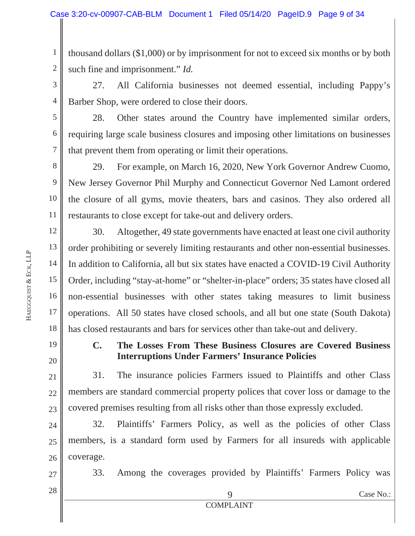1 2 thousand dollars (\$1,000) or by imprisonment for not to exceed six months or by both such fine and imprisonment." *Id.*

3 4 27. All California businesses not deemed essential, including Pappy's Barber Shop, were ordered to close their doors.

28. Other states around the Country have implemented similar orders, requiring large scale business closures and imposing other limitations on businesses that prevent them from operating or limit their operations.

8 9 10 11 29. For example, on March 16, 2020, New York Governor Andrew Cuomo, New Jersey Governor Phil Murphy and Connecticut Governor Ned Lamont ordered the closure of all gyms, movie theaters, bars and casinos. They also ordered all restaurants to close except for take-out and delivery orders.

12 13 14 15 16 17 18 30. Altogether, 49 state governments have enacted at least one civil authority order prohibiting or severely limiting restaurants and other non-essential businesses. In addition to California, all but six states have enacted a COVID-19 Civil Authority Order, including "stay-at-home" or "shelter-in-place" orders; 35 states have closed all non-essential businesses with other states taking measures to limit business operations. All 50 states have closed schools, and all but one state (South Dakota) has closed restaurants and bars for services other than take-out and delivery.

19 20

5

6

7

## **C. The Losses From These Business Closures are Covered Business Interruptions Under Farmers' Insurance Policies**

21 22 23 31. The insurance policies Farmers issued to Plaintiffs and other Class members are standard commercial property polices that cover loss or damage to the covered premises resulting from all risks other than those expressly excluded.

24 25 26 32. Plaintiffs' Farmers Policy, as well as the policies of other Class members, is a standard form used by Farmers for all insureds with applicable coverage.

33. Among the coverages provided by Plaintiffs' Farmers Policy was

28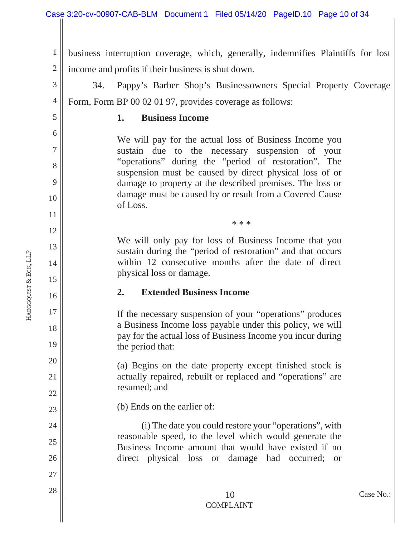1 2 business interruption coverage, which, generally, indemnifies Plaintiffs for lost income and profits if their business is shut down.

3 4 34. Pappy's Barber Shop's Businessowners Special Property Coverage Form, Form BP 00 02 01 97, provides coverage as follows:

**1. Business Income** 

We will pay for the actual loss of Business Income you sustain due to the necessary suspension of your "operations" during the "period of restoration". The suspension must be caused by direct physical loss of or damage to property at the described premises. The loss or damage must be caused by or result from a Covered Cause of Loss.

We will only pay for loss of Business Income that you sustain during the "period of restoration" and that occurs within 12 consecutive months after the date of direct physical loss or damage.

\* \* \*

#### **2. Extended Business Income**

If the necessary suspension of your "operations" produces a Business Income loss payable under this policy, we will pay for the actual loss of Business Income you incur during the period that:

(a) Begins on the date property except finished stock is actually repaired, rebuilt or replaced and "operations" are resumed; and

(b) Ends on the earlier of:

(i) The date you could restore your "operations", with reasonable speed, to the level which would generate the Business Income amount that would have existed if no direct physical loss or damage had occurred; or

5

6

7

8

9

10

11

12

13

14

15

16

17

18

19

20

21

22

23

24

25

26

27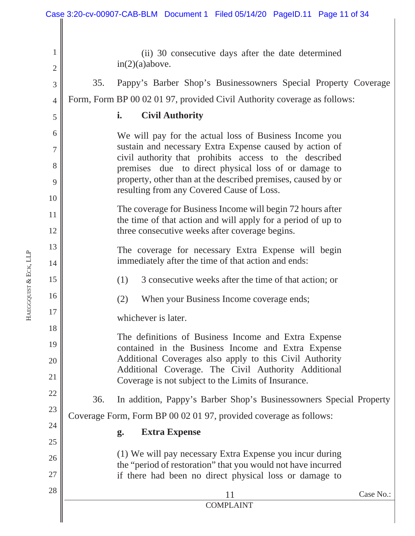|                      |                     | Case 3:20-cv-00907-CAB-BLM Document 1 Filed 05/14/20 PageID.11 Page 11 of 34                                   |
|----------------------|---------------------|----------------------------------------------------------------------------------------------------------------|
|                      | 1<br>$\mathfrak{2}$ | (ii) 30 consecutive days after the date determined<br>in(2)(a) above.                                          |
|                      | 3                   | 35.<br>Pappy's Barber Shop's Businessowners Special Property Coverage                                          |
|                      | $\overline{4}$      | Form, Form BP 00 02 01 97, provided Civil Authority coverage as follows:                                       |
|                      | 5                   | i.<br><b>Civil Authority</b>                                                                                   |
|                      | 6                   | We will pay for the actual loss of Business Income you                                                         |
|                      | 7                   | sustain and necessary Extra Expense caused by action of                                                        |
|                      | 8                   | civil authority that prohibits access to the described<br>premises due to direct physical loss of or damage to |
|                      | 9                   | property, other than at the described premises, caused by or                                                   |
|                      | 10                  | resulting from any Covered Cause of Loss.                                                                      |
|                      | 11                  | The coverage for Business Income will begin 72 hours after                                                     |
|                      | 12                  | the time of that action and will apply for a period of up to<br>three consecutive weeks after coverage begins. |
|                      | 13                  | The coverage for necessary Extra Expense will begin                                                            |
|                      | 14                  | immediately after the time of that action and ends:                                                            |
|                      | 15                  | 3 consecutive weeks after the time of that action; or<br>(1)                                                   |
| AEGGQUIST & ECK, LLP | 16                  | When your Business Income coverage ends;<br>(2)                                                                |
| 보                    | 17                  | whichever is later.                                                                                            |
|                      | 18                  | The definitions of Business Income and Extra Expense                                                           |
|                      | 19                  | contained in the Business Income and Extra Expense                                                             |
|                      | 20                  | Additional Coverages also apply to this Civil Authority<br>Additional Coverage. The Civil Authority Additional |
|                      | 21                  | Coverage is not subject to the Limits of Insurance.                                                            |
|                      | 22                  | 36.<br>In addition, Pappy's Barber Shop's Businessowners Special Property                                      |
|                      | 23                  | Coverage Form, Form BP 00 02 01 97, provided coverage as follows:                                              |
|                      | 24                  | <b>Extra Expense</b><br>g.                                                                                     |
|                      | 25                  | (1) We will pay necessary Extra Expense you incur during                                                       |
|                      | 26                  | the "period of restoration" that you would not have incurred                                                   |
|                      | $27\,$              | if there had been no direct physical loss or damage to                                                         |
|                      | 28                  | Case No.:<br>11<br><b>COMPLAINT</b>                                                                            |
|                      |                     |                                                                                                                |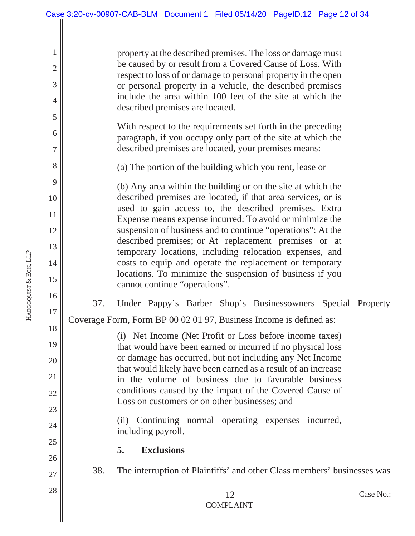property at the described premises. The loss or damage must be caused by or result from a Covered Cause of Loss. With respect to loss of or damage to personal property in the open or personal property in a vehicle, the described premises include the area within 100 feet of the site at which the described premises are located.

With respect to the requirements set forth in the preceding paragraph, if you occupy only part of the site at which the described premises are located, your premises means:

(a) The portion of the building which you rent, lease or

(b) Any area within the building or on the site at which the described premises are located, if that area services, or is used to gain access to, the described premises. Extra Expense means expense incurred: To avoid or minimize the suspension of business and to continue "operations": At the described premises; or At replacement premises or at temporary locations, including relocation expenses, and costs to equip and operate the replacement or temporary locations. To minimize the suspension of business if you cannot continue "operations".

37. Under Pappy's Barber Shop's Businessowners Special Property Coverage Form, Form BP 00 02 01 97, Business Income is defined as:

> (i) Net Income (Net Profit or Loss before income taxes) that would have been earned or incurred if no physical loss or damage has occurred, but not including any Net Income that would likely have been earned as a result of an increase in the volume of business due to favorable business conditions caused by the impact of the Covered Cause of Loss on customers or on other businesses; and

> (ii) Continuing normal operating expenses incurred, including payroll.

> > COMPLAINT

#### **5. Exclusions**

38. The interruption of Plaintiffs' and other Class members' businesses was

 $2^{\circ}$   $\parallel$  Case No.:

```
HAEGGQUIST
&
ECK, LLP
```
1

2

3

4

5

6

7

8

9

10

11

12

13

14

15

16

17

18

19

20

21

22

23

24

25

26

27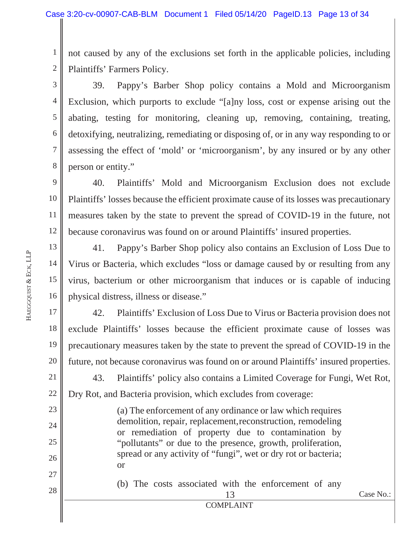1 2 not caused by any of the exclusions set forth in the applicable policies, including Plaintiffs' Farmers Policy.

3 4 5 6 7 8 39. Pappy's Barber Shop policy contains a Mold and Microorganism Exclusion, which purports to exclude "[a]ny loss, cost or expense arising out the abating, testing for monitoring, cleaning up, removing, containing, treating, detoxifying, neutralizing, remediating or disposing of, or in any way responding to or assessing the effect of 'mold' or 'microorganism', by any insured or by any other person or entity."

9 10 11 12 40. Plaintiffs' Mold and Microorganism Exclusion does not exclude Plaintiffs' losses because the efficient proximate cause of its losses was precautionary measures taken by the state to prevent the spread of COVID-19 in the future, not because coronavirus was found on or around Plaintiffs' insured properties.

13 14 15 16 41. Pappy's Barber Shop policy also contains an Exclusion of Loss Due to Virus or Bacteria, which excludes "loss or damage caused by or resulting from any virus, bacterium or other microorganism that induces or is capable of inducing physical distress, illness or disease."

17 18 19 20 21 42. Plaintiffs' Exclusion of Loss Due to Virus or Bacteria provision does not exclude Plaintiffs' losses because the efficient proximate cause of losses was precautionary measures taken by the state to prevent the spread of COVID-19 in the future, not because coronavirus was found on or around Plaintiffs' insured properties. 43. Plaintiffs' policy also contains a Limited Coverage for Fungi, Wet Rot,

Dry Rot, and Bacteria provision, which excludes from coverage:

(a) The enforcement of any ordinance or law which requires demolition, repair, replacement, reconstruction, remodeling or remediation of property due to contamination by "pollutants" or due to the presence, growth, proliferation, spread or any activity of "fungi", wet or dry rot or bacteria; or

(b) The costs associated with the enforcement of any

22

23

24

25

26

27

28

COMPLAINT

 $2\delta$   $\parallel$  Case No.: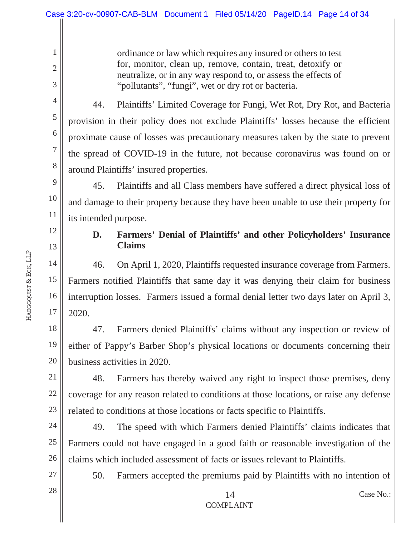ordinance or law which requires any insured or others to test for, monitor, clean up, remove, contain, treat, detoxify or neutralize, or in any way respond to, or assess the effects of "pollutants", "fungi", wet or dry rot or bacteria.

44. Plaintiffs' Limited Coverage for Fungi, Wet Rot, Dry Rot, and Bacteria provision in their policy does not exclude Plaintiffs' losses because the efficient proximate cause of losses was precautionary measures taken by the state to prevent the spread of COVID-19 in the future, not because coronavirus was found on or around Plaintiffs' insured properties.

45. Plaintiffs and all Class members have suffered a direct physical loss of and damage to their property because they have been unable to use their property for its intended purpose.

## 12 13

1

2

3

4

5

6

7

8

9

10

11

14

15

17

#### **D. Farmers' Denial of Plaintiffs' and other Policyholders' Insurance Claims**

16 46. On April 1, 2020, Plaintiffs requested insurance coverage from Farmers. Farmers notified Plaintiffs that same day it was denying their claim for business interruption losses. Farmers issued a formal denial letter two days later on April 3, 2020.

18 19 20 47. Farmers denied Plaintiffs' claims without any inspection or review of either of Pappy's Barber Shop's physical locations or documents concerning their business activities in 2020.

21 22 23 48. Farmers has thereby waived any right to inspect those premises, deny coverage for any reason related to conditions at those locations, or raise any defense related to conditions at those locations or facts specific to Plaintiffs.

24 25 26 49. The speed with which Farmers denied Plaintiffs' claims indicates that Farmers could not have engaged in a good faith or reasonable investigation of the claims which included assessment of facts or issues relevant to Plaintiffs.

50. Farmers accepted the premiums paid by Plaintiffs with no intention of

28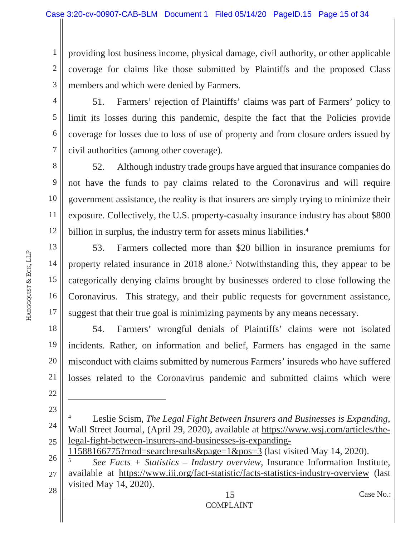1 2 3 providing lost business income, physical damage, civil authority, or other applicable coverage for claims like those submitted by Plaintiffs and the proposed Class members and which were denied by Farmers.

4 5

6

7

13

14

15

17

51. Farmers' rejection of Plaintiffs' claims was part of Farmers' policy to limit its losses during this pandemic, despite the fact that the Policies provide coverage for losses due to loss of use of property and from closure orders issued by civil authorities (among other coverage).

8 9 10 11 12 52. Although industry trade groups have argued that insurance companies do not have the funds to pay claims related to the Coronavirus and will require government assistance, the reality is that insurers are simply trying to minimize their exposure. Collectively, the U.S. property-casualty insurance industry has about \$800 billion in surplus, the industry term for assets minus liabilities.<sup>4</sup>

16 53. Farmers collected more than \$20 billion in insurance premiums for property related insurance in 2018 alone.<sup>5</sup> Notwithstanding this, they appear to be categorically denying claims brought by businesses ordered to close following the Coronavirus. This strategy, and their public requests for government assistance, suggest that their true goal is minimizing payments by any means necessary.

18 19 20 21 22 54. Farmers' wrongful denials of Plaintiffs' claims were not isolated incidents. Rather, on information and belief, Farmers has engaged in the same misconduct with claims submitted by numerous Farmers' insureds who have suffered losses related to the Coronavirus pandemic and submitted claims which were

24 25 4 Leslie Scism, *The Legal Fight Between Insurers and Businesses is Expanding*, Wall Street Journal, (April 29, 2020), available at https://www.wsj.com/articles/thelegal-fight-between-insurers-and-businesses-is-expanding-

11588166775?mod=searchresults&page=1&pos=3 (last visited May 14, 2020).

26 27 5 *See Facts + Statistics – Industry overview*, Insurance Information Institute, available at https://www.iii.org/fact-statistic/facts-statistics-industry-overview (last visited May 14, 2020).

28

23

 $2\delta$   $\parallel$  Case No.: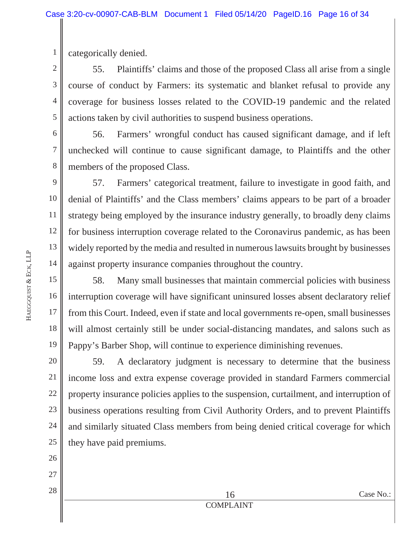1 categorically denied.

2 3 4 5 55. Plaintiffs' claims and those of the proposed Class all arise from a single course of conduct by Farmers: its systematic and blanket refusal to provide any coverage for business losses related to the COVID-19 pandemic and the related actions taken by civil authorities to suspend business operations.

6 7 8 56. Farmers' wrongful conduct has caused significant damage, and if left unchecked will continue to cause significant damage, to Plaintiffs and the other members of the proposed Class.

9 10 11 12 13 14 57. Farmers' categorical treatment, failure to investigate in good faith, and denial of Plaintiffs' and the Class members' claims appears to be part of a broader strategy being employed by the insurance industry generally, to broadly deny claims for business interruption coverage related to the Coronavirus pandemic, as has been widely reported by the media and resulted in numerous lawsuits brought by businesses against property insurance companies throughout the country.

15 16 17 18 19 58. Many small businesses that maintain commercial policies with business interruption coverage will have significant uninsured losses absent declaratory relief from this Court. Indeed, even if state and local governments re-open, small businesses will almost certainly still be under social-distancing mandates, and salons such as Pappy's Barber Shop, will continue to experience diminishing revenues.

20 21 22 23 24 59. A declaratory judgment is necessary to determine that the business income loss and extra expense coverage provided in standard Farmers commercial property insurance policies applies to the suspension, curtailment, and interruption of business operations resulting from Civil Authority Orders, and to prevent Plaintiffs and similarly situated Class members from being denied critical coverage for which they have paid premiums.

- 25 26
	- 27
	- 28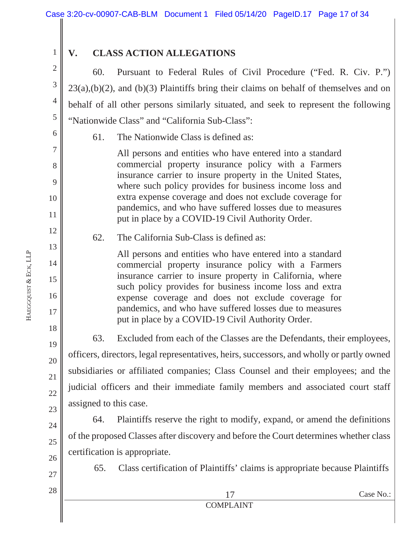2

3

4

5

6

7

8

9

10

11

12

13

14

15

16

17

18

19

20

21

22

23

24

1

## **V. CLASS ACTION ALLEGATIONS**

60. Pursuant to Federal Rules of Civil Procedure ("Fed. R. Civ. P.")  $23(a)$ ,(b)(2), and (b)(3) Plaintiffs bring their claims on behalf of themselves and on behalf of all other persons similarly situated, and seek to represent the following "Nationwide Class" and "California Sub-Class":

61. The Nationwide Class is defined as:

All persons and entities who have entered into a standard commercial property insurance policy with a Farmers insurance carrier to insure property in the United States, where such policy provides for business income loss and extra expense coverage and does not exclude coverage for pandemics, and who have suffered losses due to measures put in place by a COVID-19 Civil Authority Order.

## 62. The California Sub-Class is defined as:

All persons and entities who have entered into a standard commercial property insurance policy with a Farmers insurance carrier to insure property in California, where such policy provides for business income loss and extra expense coverage and does not exclude coverage for pandemics, and who have suffered losses due to measures put in place by a COVID-19 Civil Authority Order.

63. Excluded from each of the Classes are the Defendants, their employees, officers, directors, legal representatives, heirs, successors, and wholly or partly owned subsidiaries or affiliated companies; Class Counsel and their employees; and the judicial officers and their immediate family members and associated court staff assigned to this case.

64. Plaintiffs reserve the right to modify, expand, or amend the definitions of the proposed Classes after discovery and before the Court determines whether class certification is appropriate.

65. Class certification of Plaintiffs' claims is appropriate because Plaintiffs

**HAEGGQUIST** & ECK, LLP

> 25 26 27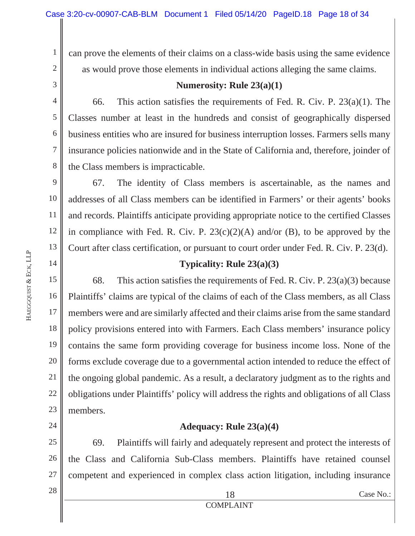can prove the elements of their claims on a class-wide basis using the same evidence as would prove those elements in individual actions alleging the same claims.

3 4

5

6

7

8

14

24

28

1

2

**Numerosity: Rule 23(a)(1)**

66. This action satisfies the requirements of Fed. R. Civ. P. 23(a)(1). The Classes number at least in the hundreds and consist of geographically dispersed business entities who are insured for business interruption losses. Farmers sells many insurance policies nationwide and in the State of California and, therefore, joinder of the Class members is impracticable.

9 10 11 12 13 67. The identity of Class members is ascertainable, as the names and addresses of all Class members can be identified in Farmers' or their agents' books and records. Plaintiffs anticipate providing appropriate notice to the certified Classes in compliance with Fed. R. Civ. P.  $23(c)(2)(A)$  and/or (B), to be approved by the Court after class certification, or pursuant to court order under Fed. R. Civ. P. 23(d).

#### **Typicality: Rule 23(a)(3)**

15 16 17 18 19 20 21 22 23 68. This action satisfies the requirements of Fed. R. Civ. P.  $23(a)(3)$  because Plaintiffs' claims are typical of the claims of each of the Class members, as all Class members were and are similarly affected and their claims arise from the same standard policy provisions entered into with Farmers. Each Class members' insurance policy contains the same form providing coverage for business income loss. None of the forms exclude coverage due to a governmental action intended to reduce the effect of the ongoing global pandemic. As a result, a declaratory judgment as to the rights and obligations under Plaintiffs' policy will address the rights and obligations of all Class members.

#### **Adequacy: Rule 23(a)(4)**

25 26 27 69. Plaintiffs will fairly and adequately represent and protect the interests of the Class and California Sub-Class members. Plaintiffs have retained counsel competent and experienced in complex class action litigation, including insurance

 $2\delta$   $\parallel$  Case No.: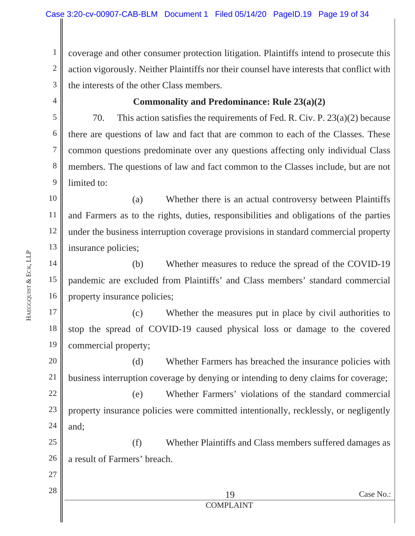1 2 3 coverage and other consumer protection litigation. Plaintiffs intend to prosecute this action vigorously. Neither Plaintiffs nor their counsel have interests that conflict with the interests of the other Class members.

4

5

6

7

8

9

#### **Commonality and Predominance: Rule 23(a)(2)**

70. This action satisfies the requirements of Fed. R. Civ. P. 23(a)(2) because there are questions of law and fact that are common to each of the Classes. These common questions predominate over any questions affecting only individual Class members. The questions of law and fact common to the Classes include, but are not limited to:

10 11 12 13 (a) Whether there is an actual controversy between Plaintiffs and Farmers as to the rights, duties, responsibilities and obligations of the parties under the business interruption coverage provisions in standard commercial property insurance policies;

14 15 16 (b) Whether measures to reduce the spread of the COVID-19 pandemic are excluded from Plaintiffs' and Class members' standard commercial property insurance policies;

17 18 19 (c) Whether the measures put in place by civil authorities to stop the spread of COVID-19 caused physical loss or damage to the covered commercial property;

20 21 (d) Whether Farmers has breached the insurance policies with business interruption coverage by denying or intending to deny claims for coverage;

22 23 24 (e) Whether Farmers' violations of the standard commercial property insurance policies were committed intentionally, recklessly, or negligently and;

25 26 (f) Whether Plaintiffs and Class members suffered damages as a result of Farmers' breach.

- 27
- 28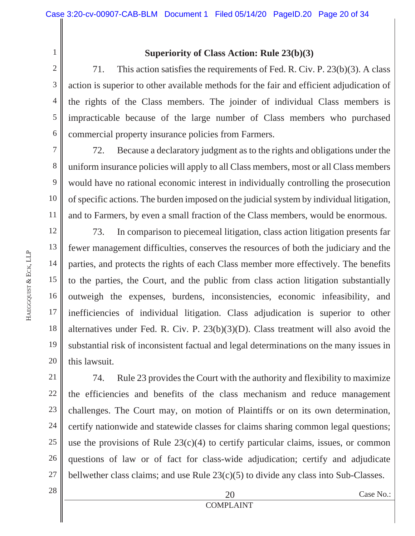2 3

4

5

6

7

8

9

10

11

1

## **Superiority of Class Action: Rule 23(b)(3)**

71. This action satisfies the requirements of Fed. R. Civ. P. 23(b)(3). A class action is superior to other available methods for the fair and efficient adjudication of the rights of the Class members. The joinder of individual Class members is impracticable because of the large number of Class members who purchased commercial property insurance policies from Farmers.

72. Because a declaratory judgment as to the rights and obligations under the uniform insurance policies will apply to all Class members, most or all Class members would have no rational economic interest in individually controlling the prosecution of specific actions. The burden imposed on the judicial system by individual litigation, and to Farmers, by even a small fraction of the Class members, would be enormous.

12 13 14 15 16 17 18 19 20 73. In comparison to piecemeal litigation, class action litigation presents far fewer management difficulties, conserves the resources of both the judiciary and the parties, and protects the rights of each Class member more effectively. The benefits to the parties, the Court, and the public from class action litigation substantially outweigh the expenses, burdens, inconsistencies, economic infeasibility, and inefficiencies of individual litigation. Class adjudication is superior to other alternatives under Fed. R. Civ. P. 23(b)(3)(D). Class treatment will also avoid the substantial risk of inconsistent factual and legal determinations on the many issues in this lawsuit.

21 22 23 24 25 26 27 74. Rule 23 provides the Court with the authority and flexibility to maximize the efficiencies and benefits of the class mechanism and reduce management challenges. The Court may, on motion of Plaintiffs or on its own determination, certify nationwide and statewide classes for claims sharing common legal questions; use the provisions of Rule  $23(c)(4)$  to certify particular claims, issues, or common questions of law or of fact for class-wide adjudication; certify and adjudicate bellwether class claims; and use Rule 23(c)(5) to divide any class into Sub-Classes.

**HAEGGQUIST** & ECK, LLP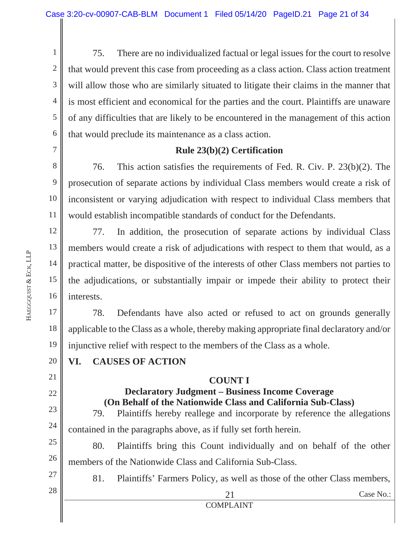1 2 3 4 5 6 75. There are no individualized factual or legal issues for the court to resolve that would prevent this case from proceeding as a class action. Class action treatment will allow those who are similarly situated to litigate their claims in the manner that is most efficient and economical for the parties and the court. Plaintiffs are unaware of any difficulties that are likely to be encountered in the management of this action that would preclude its maintenance as a class action.

7

#### **Rule 23(b)(2) Certification**

8 9 10 11 76. This action satisfies the requirements of Fed. R. Civ. P. 23(b)(2). The prosecution of separate actions by individual Class members would create a risk of inconsistent or varying adjudication with respect to individual Class members that would establish incompatible standards of conduct for the Defendants.

12 13 14 15 16 77. In addition, the prosecution of separate actions by individual Class members would create a risk of adjudications with respect to them that would, as a practical matter, be dispositive of the interests of other Class members not parties to the adjudications, or substantially impair or impede their ability to protect their interests.

17 18 19 78. Defendants have also acted or refused to act on grounds generally applicable to the Class as a whole, thereby making appropriate final declaratory and/or injunctive relief with respect to the members of the Class as a whole.

#### **VI. CAUSES OF ACTION**

#### **COUNT I**

## **Declaratory Judgment – Business Income Coverage (On Behalf of the Nationwide Class and California Sub-Class)**

79. Plaintiffs hereby reallege and incorporate by reference the allegations contained in the paragraphs above, as if fully set forth herein.

25 26 80. Plaintiffs bring this Count individually and on behalf of the other members of the Nationwide Class and California Sub-Class.

 $21$  Case No.:

81. Plaintiffs' Farmers Policy, as well as those of the other Class members,

COMPLAINT

20

21

22

23

24

27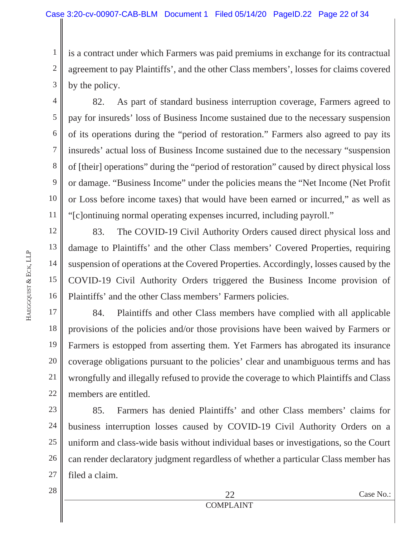2 3 is a contract under which Farmers was paid premiums in exchange for its contractual agreement to pay Plaintiffs', and the other Class members', losses for claims covered by the policy.

9 82. As part of standard business interruption coverage, Farmers agreed to pay for insureds' loss of Business Income sustained due to the necessary suspension of its operations during the "period of restoration." Farmers also agreed to pay its insureds' actual loss of Business Income sustained due to the necessary "suspension of [their] operations" during the "period of restoration" caused by direct physical loss or damage. "Business Income" under the policies means the "Net Income (Net Profit or Loss before income taxes) that would have been earned or incurred," as well as "[c]ontinuing normal operating expenses incurred, including payroll."

16 83. The COVID-19 Civil Authority Orders caused direct physical loss and damage to Plaintiffs' and the other Class members' Covered Properties, requiring suspension of operations at the Covered Properties. Accordingly, losses caused by the COVID-19 Civil Authority Orders triggered the Business Income provision of Plaintiffs' and the other Class members' Farmers policies.

17 18 19 20 21 22 84. Plaintiffs and other Class members have complied with all applicable provisions of the policies and/or those provisions have been waived by Farmers or Farmers is estopped from asserting them. Yet Farmers has abrogated its insurance coverage obligations pursuant to the policies' clear and unambiguous terms and has wrongfully and illegally refused to provide the coverage to which Plaintiffs and Class members are entitled.

23 24 25 26 27 85. Farmers has denied Plaintiffs' and other Class members' claims for business interruption losses caused by COVID-19 Civil Authority Orders on a uniform and class-wide basis without individual bases or investigations, so the Court can render declaratory judgment regardless of whether a particular Class member has filed a claim.

1

4

5

6

7

8

10

11

12

13

14

15

 $22$  Case No.: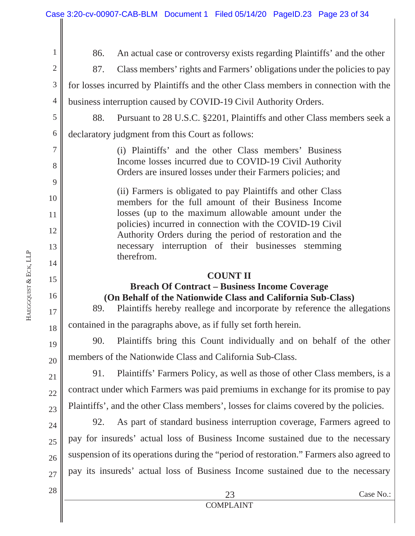$23$  Case No.: COMPLAINT 1 2 3 4 5 6 7 8 9 10 11 12 13 14 15 16 17 18 19 20 21 22 23 24 25 26 27 28 86. An actual case or controversy exists regarding Plaintiffs' and the other 87. Class members' rights and Farmers' obligations under the policies to pay for losses incurred by Plaintiffs and the other Class members in connection with the business interruption caused by COVID-19 Civil Authority Orders. 88. Pursuant to 28 U.S.C. §2201, Plaintiffs and other Class members seek a declaratory judgment from this Court as follows: (i) Plaintiffs' and the other Class members' Business Income losses incurred due to COVID-19 Civil Authority Orders are insured losses under their Farmers policies; and (ii) Farmers is obligated to pay Plaintiffs and other Class members for the full amount of their Business Income losses (up to the maximum allowable amount under the policies) incurred in connection with the COVID-19 Civil Authority Orders during the period of restoration and the necessary interruption of their businesses stemming therefrom. **COUNT II Breach Of Contract – Business Income Coverage (On Behalf of the Nationwide Class and California Sub-Class)**  89. Plaintiffs hereby reallege and incorporate by reference the allegations contained in the paragraphs above, as if fully set forth herein. 90. Plaintiffs bring this Count individually and on behalf of the other members of the Nationwide Class and California Sub-Class. 91. Plaintiffs' Farmers Policy, as well as those of other Class members, is a contract under which Farmers was paid premiums in exchange for its promise to pay Plaintiffs', and the other Class members', losses for claims covered by the policies. 92. As part of standard business interruption coverage, Farmers agreed to pay for insureds' actual loss of Business Income sustained due to the necessary suspension of its operations during the "period of restoration." Farmers also agreed to pay its insureds' actual loss of Business Income sustained due to the necessary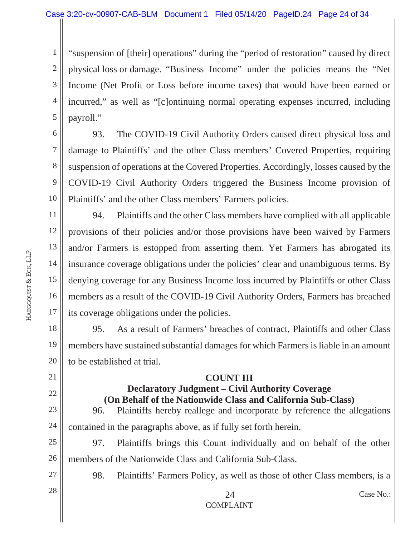1 2 3 4 5 "suspension of [their] operations" during the "period of restoration" caused by direct physical loss or damage. "Business Income" under the policies means the "Net Income (Net Profit or Loss before income taxes) that would have been earned or incurred," as well as "[c]ontinuing normal operating expenses incurred, including payroll."

6 7 8 9 10 93. The COVID-19 Civil Authority Orders caused direct physical loss and damage to Plaintiffs' and the other Class members' Covered Properties, requiring suspension of operations at the Covered Properties. Accordingly, losses caused by the COVID-19 Civil Authority Orders triggered the Business Income provision of Plaintiffs' and the other Class members' Farmers policies.

11 12 13 14 15 16 17 94. Plaintiffs and the other Class members have complied with all applicable provisions of their policies and/or those provisions have been waived by Farmers and/or Farmers is estopped from asserting them. Yet Farmers has abrogated its insurance coverage obligations under the policies' clear and unambiguous terms. By denying coverage for any Business Income loss incurred by Plaintiffs or other Class members as a result of the COVID-19 Civil Authority Orders, Farmers has breached its coverage obligations under the policies.

18 19 20 95. As a result of Farmers' breaches of contract, Plaintiffs and other Class members have sustained substantial damages for which Farmers is liable in an amount to be established at trial.

## **COUNT III**

## **Declaratory Judgment – Civil Authority Coverage (On Behalf of the Nationwide Class and California Sub-Class)**

23 24 96. Plaintiffs hereby reallege and incorporate by reference the allegations contained in the paragraphs above, as if fully set forth herein.

25 26 97. Plaintiffs brings this Count individually and on behalf of the other members of the Nationwide Class and California Sub-Class.

98. Plaintiffs' Farmers Policy, as well as those of other Class members, is a

28

27

21

22

COMPLAINT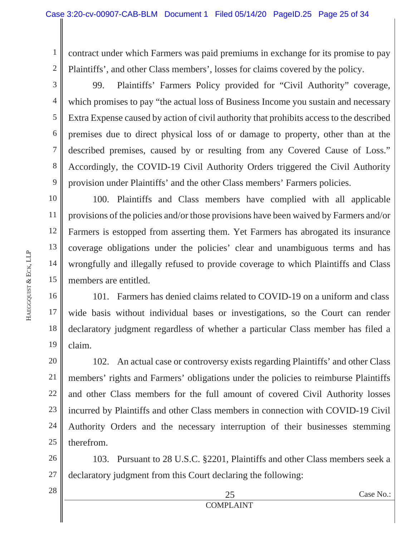1 2 contract under which Farmers was paid premiums in exchange for its promise to pay Plaintiffs', and other Class members', losses for claims covered by the policy.

3 4 5 6 7 8 9 99. Plaintiffs' Farmers Policy provided for "Civil Authority" coverage, which promises to pay "the actual loss of Business Income you sustain and necessary Extra Expense caused by action of civil authority that prohibits access to the described premises due to direct physical loss of or damage to property, other than at the described premises, caused by or resulting from any Covered Cause of Loss." Accordingly, the COVID-19 Civil Authority Orders triggered the Civil Authority provision under Plaintiffs' and the other Class members' Farmers policies.

10 11 12 13 14 15 100. Plaintiffs and Class members have complied with all applicable provisions of the policies and/or those provisions have been waived by Farmers and/or Farmers is estopped from asserting them. Yet Farmers has abrogated its insurance coverage obligations under the policies' clear and unambiguous terms and has wrongfully and illegally refused to provide coverage to which Plaintiffs and Class members are entitled.

16 17 18 19 101. Farmers has denied claims related to COVID-19 on a uniform and class wide basis without individual bases or investigations, so the Court can render declaratory judgment regardless of whether a particular Class member has filed a claim.

20 21 22 23 24 25 102. An actual case or controversy exists regarding Plaintiffs' and other Class members' rights and Farmers' obligations under the policies to reimburse Plaintiffs and other Class members for the full amount of covered Civil Authority losses incurred by Plaintiffs and other Class members in connection with COVID-19 Civil Authority Orders and the necessary interruption of their businesses stemming therefrom.

26 27 103. Pursuant to 28 U.S.C. §2201, Plaintiffs and other Class members seek a declaratory judgment from this Court declaring the following: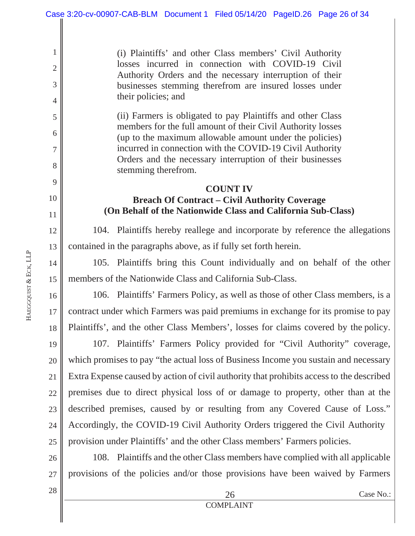(i) Plaintiffs' and other Class members' Civil Authority losses incurred in connection with COVID-19 Civil Authority Orders and the necessary interruption of their businesses stemming therefrom are insured losses under their policies; and

(ii) Farmers is obligated to pay Plaintiffs and other Class members for the full amount of their Civil Authority losses (up to the maximum allowable amount under the policies) incurred in connection with the COVID-19 Civil Authority Orders and the necessary interruption of their businesses stemming therefrom.

#### **COUNT IV**

## **Breach Of Contract – Civil Authority Coverage (On Behalf of the Nationwide Class and California Sub-Class)**

104. Plaintiffs hereby reallege and incorporate by reference the allegations contained in the paragraphs above, as if fully set forth herein.

105. Plaintiffs bring this Count individually and on behalf of the other members of the Nationwide Class and California Sub-Class.

16 17 18 106. Plaintiffs' Farmers Policy, as well as those of other Class members, is a contract under which Farmers was paid premiums in exchange for its promise to pay Plaintiffs', and the other Class Members', losses for claims covered by the policy.

19 20 21 22 23 24 25 107. Plaintiffs' Farmers Policy provided for "Civil Authority" coverage, which promises to pay "the actual loss of Business Income you sustain and necessary Extra Expense caused by action of civil authority that prohibits access to the described premises due to direct physical loss of or damage to property, other than at the described premises, caused by or resulting from any Covered Cause of Loss." Accordingly, the COVID-19 Civil Authority Orders triggered the Civil Authority provision under Plaintiffs' and the other Class members' Farmers policies.

26 27 108. Plaintiffs and the other Class members have complied with all applicable provisions of the policies and/or those provisions have been waived by Farmers

**HAEGGQUIST** & ECK, LLP

1

2

3

4

5

6

7

8

9

10

11

12

13

14

15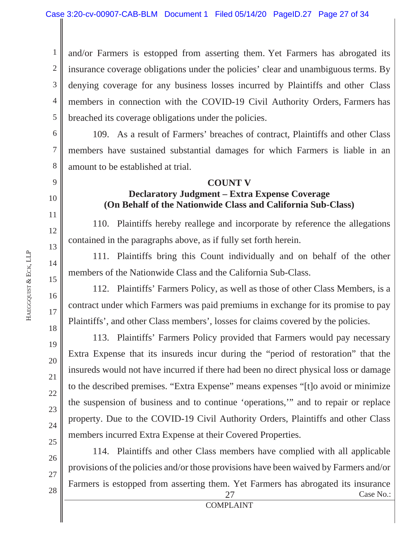1 2 3 4 5 and/or Farmers is estopped from asserting them. Yet Farmers has abrogated its insurance coverage obligations under the policies' clear and unambiguous terms. By denying coverage for any business losses incurred by Plaintiffs and other Class members in connection with the COVID-19 Civil Authority Orders, Farmers has breached its coverage obligations under the policies.

6 7 8 109. As a result of Farmers' breaches of contract, Plaintiffs and other Class members have sustained substantial damages for which Farmers is liable in an amount to be established at trial.

#### **COUNT V**

## **Declaratory Judgment – Extra Expense Coverage (On Behalf of the Nationwide Class and California Sub-Class)**

110. Plaintiffs hereby reallege and incorporate by reference the allegations contained in the paragraphs above, as if fully set forth herein.

111. Plaintiffs bring this Count individually and on behalf of the other members of the Nationwide Class and the California Sub-Class.

112. Plaintiffs' Farmers Policy, as well as those of other Class Members, is a contract under which Farmers was paid premiums in exchange for its promise to pay Plaintiffs', and other Class members', losses for claims covered by the policies.

113. Plaintiffs' Farmers Policy provided that Farmers would pay necessary Extra Expense that its insureds incur during the "period of restoration" that the insureds would not have incurred if there had been no direct physical loss or damage to the described premises. "Extra Expense" means expenses "[t]o avoid or minimize the suspension of business and to continue 'operations,'" and to repair or replace property. Due to the COVID-19 Civil Authority Orders, Plaintiffs and other Class members incurred Extra Expense at their Covered Properties.

 $27$  Case No.: 114. Plaintiffs and other Class members have complied with all applicable provisions of the policies and/or those provisions have been waived by Farmers and/or Farmers is estopped from asserting them. Yet Farmers has abrogated its insurance

9

10

11

12

13

14

15

16

17

18

19

20

21

22

23

24

25

26

27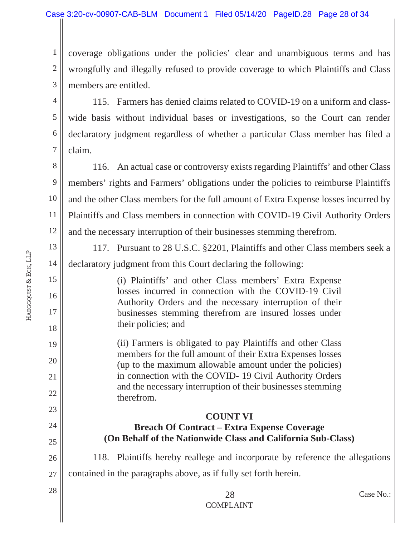1 2 3 coverage obligations under the policies' clear and unambiguous terms and has wrongfully and illegally refused to provide coverage to which Plaintiffs and Class members are entitled.

4 5 6 7 115. Farmers has denied claims related to COVID-19 on a uniform and classwide basis without individual bases or investigations, so the Court can render declaratory judgment regardless of whether a particular Class member has filed a claim.

8 9 10 11 12 116. An actual case or controversy exists regarding Plaintiffs' and other Class members' rights and Farmers' obligations under the policies to reimburse Plaintiffs and the other Class members for the full amount of Extra Expense losses incurred by Plaintiffs and Class members in connection with COVID-19 Civil Authority Orders and the necessary interruption of their businesses stemming therefrom.

117. Pursuant to 28 U.S.C. §2201, Plaintiffs and other Class members seek a declaratory judgment from this Court declaring the following:

(i) Plaintiffs' and other Class members' Extra Expense losses incurred in connection with the COVID-19 Civil Authority Orders and the necessary interruption of their businesses stemming therefrom are insured losses under their policies; and

(ii) Farmers is obligated to pay Plaintiffs and other Class members for the full amount of their Extra Expenses losses (up to the maximum allowable amount under the policies) in connection with the COVID- 19 Civil Authority Orders and the necessary interruption of their businesses stemming therefrom.

## **COUNT VI Breach Of Contract – Extra Expense Coverage (On Behalf of the Nationwide Class and California Sub-Class)**

26 27 118. Plaintiffs hereby reallege and incorporate by reference the allegations contained in the paragraphs above, as if fully set forth herein.

 $28$  Case No.: COMPLAINT

13

14

15

16

17

18

19

20

21

22

23

24

25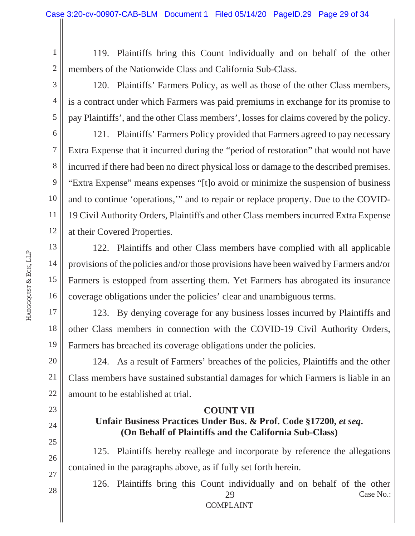2 119. Plaintiffs bring this Count individually and on behalf of the other members of the Nationwide Class and California Sub-Class.

120. Plaintiffs' Farmers Policy, as well as those of the other Class members, is a contract under which Farmers was paid premiums in exchange for its promise to pay Plaintiffs', and the other Class members', losses for claims covered by the policy.

9 121. Plaintiffs' Farmers Policy provided that Farmers agreed to pay necessary Extra Expense that it incurred during the "period of restoration" that would not have incurred if there had been no direct physical loss or damage to the described premises. "Extra Expense" means expenses "[t]o avoid or minimize the suspension of business and to continue 'operations,'" and to repair or replace property. Due to the COVID-19 Civil Authority Orders, Plaintiffs and other Class members incurred Extra Expense at their Covered Properties.

16 122. Plaintiffs and other Class members have complied with all applicable provisions of the policies and/or those provisions have been waived by Farmers and/or Farmers is estopped from asserting them. Yet Farmers has abrogated its insurance coverage obligations under the policies' clear and unambiguous terms.

17 18 19 123. By denying coverage for any business losses incurred by Plaintiffs and other Class members in connection with the COVID-19 Civil Authority Orders, Farmers has breached its coverage obligations under the policies.

20 21 22 124. As a result of Farmers' breaches of the policies, Plaintiffs and the other Class members have sustained substantial damages for which Farmers is liable in an amount to be established at trial.

#### **COUNT VII**

#### Unfair Business Practices Under Bus. & Prof. Code §17200, *et seq*. **(On Behalf of Plaintiffs and the California Sub-Class)**

26 27 125. Plaintiffs hereby reallege and incorporate by reference the allegations contained in the paragraphs above, as if fully set forth herein.

 $29$  Case No.: COMPLAINT 126. Plaintiffs bring this Count individually and on behalf of the other

1

3

4

5

6

7

8

10

11

12

13

14

15

23

24

25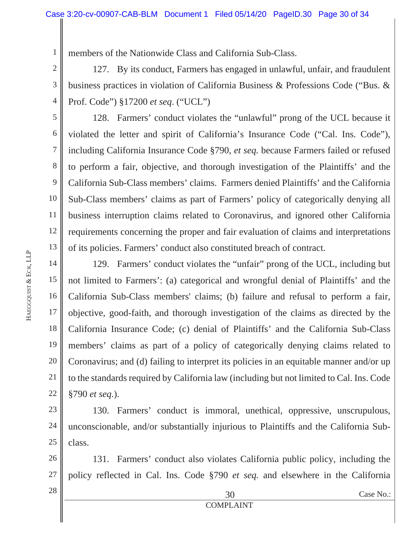1 members of the Nationwide Class and California Sub-Class.

127. By its conduct, Farmers has engaged in unlawful, unfair, and fraudulent business practices in violation of California Business & Professions Code ("Bus. & Prof. Code") §17200 *et seq*. ("UCL")

128. Farmers' conduct violates the "unlawful" prong of the UCL because it violated the letter and spirit of California's Insurance Code ("Cal. Ins. Code"), including California Insurance Code §790, *et seq.* because Farmers failed or refused to perform a fair, objective, and thorough investigation of the Plaintiffs' and the California Sub-Class members' claims. Farmers denied Plaintiffs' and the California Sub-Class members' claims as part of Farmers' policy of categorically denying all business interruption claims related to Coronavirus, and ignored other California requirements concerning the proper and fair evaluation of claims and interpretations of its policies. Farmers' conduct also constituted breach of contract.

14 15 16 17 18 19 20 21 22 129. Farmers' conduct violates the "unfair" prong of the UCL, including but not limited to Farmers': (a) categorical and wrongful denial of Plaintiffs' and the California Sub-Class members' claims; (b) failure and refusal to perform a fair, objective, good-faith, and thorough investigation of the claims as directed by the California Insurance Code; (c) denial of Plaintiffs' and the California Sub-Class members' claims as part of a policy of categorically denying claims related to Coronavirus; and (d) failing to interpret its policies in an equitable manner and/or up to the standards required by California law (including but not limited to Cal. Ins. Code §790 *et seq*.).

23 24 25 130. Farmers' conduct is immoral, unethical, oppressive, unscrupulous, unconscionable, and/or substantially injurious to Plaintiffs and the California Subclass.

26 27 131. Farmers' conduct also violates California public policy, including the policy reflected in Cal. Ins. Code §790 *et seq.* and elsewhere in the California

**HAEGGQUIST** 

&

ECK, LLP

2

3

4

5

6

7

8

9

10

11

12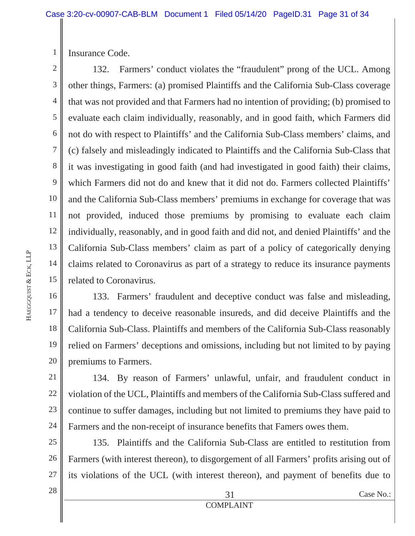Insurance Code.

1

2 3 4 5 6 7 8 9 10 11 12 13 14 15 132. Farmers' conduct violates the "fraudulent" prong of the UCL. Among other things, Farmers: (a) promised Plaintiffs and the California Sub-Class coverage that was not provided and that Farmers had no intention of providing; (b) promised to evaluate each claim individually, reasonably, and in good faith, which Farmers did not do with respect to Plaintiffs' and the California Sub-Class members' claims, and (c) falsely and misleadingly indicated to Plaintiffs and the California Sub-Class that it was investigating in good faith (and had investigated in good faith) their claims, which Farmers did not do and knew that it did not do. Farmers collected Plaintiffs' and the California Sub-Class members' premiums in exchange for coverage that was not provided, induced those premiums by promising to evaluate each claim individually, reasonably, and in good faith and did not, and denied Plaintiffs' and the California Sub-Class members' claim as part of a policy of categorically denying claims related to Coronavirus as part of a strategy to reduce its insurance payments related to Coronavirus.

16 17 18 19 20 133. Farmers' fraudulent and deceptive conduct was false and misleading, had a tendency to deceive reasonable insureds, and did deceive Plaintiffs and the California Sub-Class. Plaintiffs and members of the California Sub-Class reasonably relied on Farmers' deceptions and omissions, including but not limited to by paying premiums to Farmers.

21 22 23 24 134. By reason of Farmers' unlawful, unfair, and fraudulent conduct in violation of the UCL, Plaintiffs and members of the California Sub-Class suffered and continue to suffer damages, including but not limited to premiums they have paid to Farmers and the non-receipt of insurance benefits that Famers owes them.

25 26 27 135. Plaintiffs and the California Sub-Class are entitled to restitution from Farmers (with interest thereon), to disgorgement of all Farmers' profits arising out of its violations of the UCL (with interest thereon), and payment of benefits due to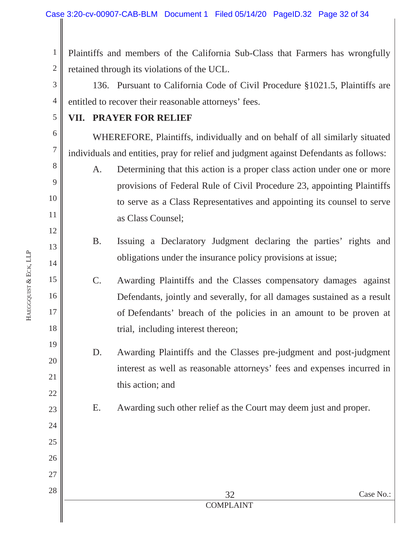1 2 Plaintiffs and members of the California Sub-Class that Farmers has wrongfully retained through its violations of the UCL.

3 4 136. Pursuant to California Code of Civil Procedure §1021.5, Plaintiffs are entitled to recover their reasonable attorneys' fees.

#### **VII. PRAYER FOR RELIEF**

5

6

7

8

9

10

11

12

13

14

15

16

17

18

19

20

21

22

23

24

25

26

27

28

WHEREFORE, Plaintiffs, individually and on behalf of all similarly situated individuals and entities, pray for relief and judgment against Defendants as follows:

A. Determining that this action is a proper class action under one or more provisions of Federal Rule of Civil Procedure 23, appointing Plaintiffs to serve as a Class Representatives and appointing its counsel to serve as Class Counsel;

B. Issuing a Declaratory Judgment declaring the parties' rights and obligations under the insurance policy provisions at issue;

C. Awarding Plaintiffs and the Classes compensatory damages against Defendants, jointly and severally, for all damages sustained as a result of Defendants' breach of the policies in an amount to be proven at trial, including interest thereon;

- D. Awarding Plaintiffs and the Classes pre-judgment and post-judgment interest as well as reasonable attorneys' fees and expenses incurred in this action; and
- 
- E. Awarding such other relief as the Court may deem just and proper.

**HAEGGQUIST** 

&

ECK, LLP

COMPLAINT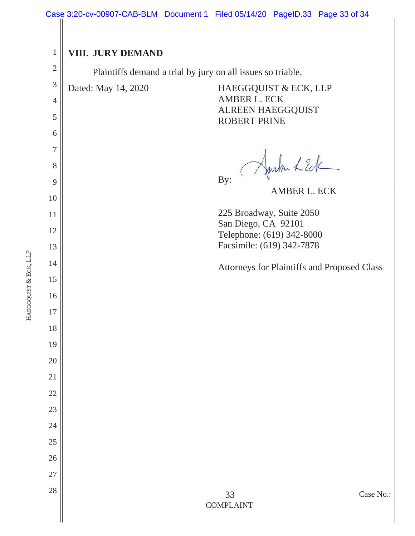#### Case 3:20-cv-00907-CAB-BLM Document 1 Filed 05/14/20 PageID.33 Page 33 of 34

1 **VIII. JURY DEMAND**  2 Plaintiffs demand a trial by jury on all issues so triable. 3 Dated: May 14, 2020 HAEGGQUIST & ECK, LLP AMBER L. ECK 4 ALREEN HAEGGQUIST 5 ROBERT PRINE 6 7 when LEde 8 By: 9 AMBER L. ECK 10 225 Broadway, Suite 2050 11 San Diego, CA 92101 12 Telephone: (619) 342-8000 Facsimile: (619) 342-7878 13 14 Attorneys for Plaintiffs and Proposed Class 15 16 17 18 19 20 21 22 23 24 25 26 27 28  $2\delta$   $\Box$  Case No.: COMPLAINT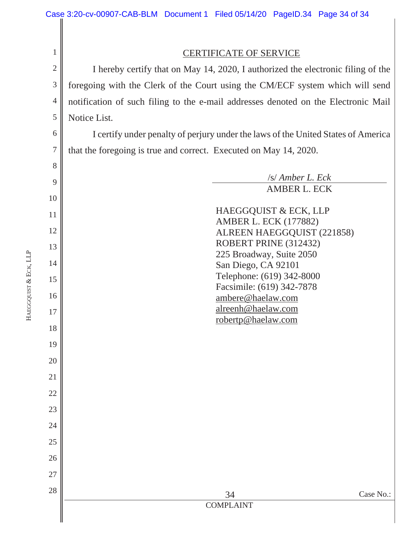$2\delta$   $\parallel$  Case No.: COMPLAINT 1 2 3 4 5 6 7 8 9 10 11 12 13 14 15 16 17 18 19 20 21 22 23 24 25 26 27 28 CERTIFICATE OF SERVICE I hereby certify that on May 14, 2020, I authorized the electronic filing of the foregoing with the Clerk of the Court using the CM/ECF system which will send notification of such filing to the e-mail addresses denoted on the Electronic Mail Notice List. I certify under penalty of perjury under the laws of the United States of America that the foregoing is true and correct. Executed on May 14, 2020. /s/ *Amber L. Eck*  AMBER L. ECK HAEGGQUIST & ECK, LLP AMBER L. ECK (177882) ALREEN HAEGGQUIST (221858) ROBERT PRINE (312432) 225 Broadway, Suite 2050 San Diego, CA 92101 Telephone: (619) 342-8000 Facsimile: (619) 342-7878 ambere@haelaw.com alreenh@haelaw.com robertp@haelaw.com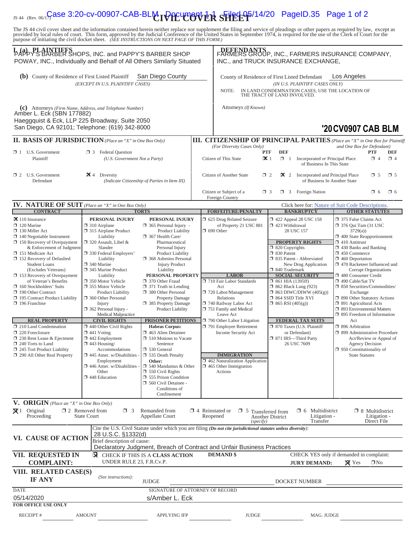# IS 44 (Rev. 06/1**5 ase 3:20-cv-00907-CAB-BLM DOCUMENT 1-1 STILED 65**/14/20 PageID.35 Page 1 of 2

The JS 44 civil cover sheet and the information contained herein neither replace nor supplement the filing and service of pleadings or other papers as required by law, except as provided by local rules of court. This form,

| LAPPY'S BARBER SHOPS, INC. and PAPPY'S BARBER SHOP<br>POWAY, INC., Individually and Behalf of All Others Similarly Situated                                                                                                                                                                                                                                                                                                                                                                                                                                                                                                                                 | DEFENDANTS<br>FARMERS GROUP, INC., FARMERS INSURANCE COMPANY,<br>INC., and TRUCK INSURANCE EXCHANGE,                                                                                                                                                                                                                                                                                                                                                                                                                                                                                                                                   |                                                                                                                                                                                                                                                                                                                                                                                                                                                                                                                                                                                                                                                                                                 |                  |                                                                                                                                                                                                                                                                                                                                                                                                                                                   |                                                                                                                                                                                                                                                                                                                                                                                                                                                                                                             |                                                             |                                                                                                                                                                                                                                                                                                                                                                                                                                                                                                                                                                                                                                                           |                                                         |  |
|-------------------------------------------------------------------------------------------------------------------------------------------------------------------------------------------------------------------------------------------------------------------------------------------------------------------------------------------------------------------------------------------------------------------------------------------------------------------------------------------------------------------------------------------------------------------------------------------------------------------------------------------------------------|----------------------------------------------------------------------------------------------------------------------------------------------------------------------------------------------------------------------------------------------------------------------------------------------------------------------------------------------------------------------------------------------------------------------------------------------------------------------------------------------------------------------------------------------------------------------------------------------------------------------------------------|-------------------------------------------------------------------------------------------------------------------------------------------------------------------------------------------------------------------------------------------------------------------------------------------------------------------------------------------------------------------------------------------------------------------------------------------------------------------------------------------------------------------------------------------------------------------------------------------------------------------------------------------------------------------------------------------------|------------------|---------------------------------------------------------------------------------------------------------------------------------------------------------------------------------------------------------------------------------------------------------------------------------------------------------------------------------------------------------------------------------------------------------------------------------------------------|-------------------------------------------------------------------------------------------------------------------------------------------------------------------------------------------------------------------------------------------------------------------------------------------------------------------------------------------------------------------------------------------------------------------------------------------------------------------------------------------------------------|-------------------------------------------------------------|-----------------------------------------------------------------------------------------------------------------------------------------------------------------------------------------------------------------------------------------------------------------------------------------------------------------------------------------------------------------------------------------------------------------------------------------------------------------------------------------------------------------------------------------------------------------------------------------------------------------------------------------------------------|---------------------------------------------------------|--|
| (b) County of Residence of First Listed Plaintiff<br>San Diego County<br>(EXCEPT IN U.S. PLAINTIFF CASES)                                                                                                                                                                                                                                                                                                                                                                                                                                                                                                                                                   |                                                                                                                                                                                                                                                                                                                                                                                                                                                                                                                                                                                                                                        |                                                                                                                                                                                                                                                                                                                                                                                                                                                                                                                                                                                                                                                                                                 |                  | NOTE:                                                                                                                                                                                                                                                                                                                                                                                                                                             | County of Residence of First Listed Defendant<br>Los Angeles<br>(IN U.S. PLAINTIFF CASES ONLY)<br>IN LAND CONDEMNATION CASES, USE THE LOCATION OF<br>THE TRACT OF LAND INVOLVED.                                                                                                                                                                                                                                                                                                                            |                                                             |                                                                                                                                                                                                                                                                                                                                                                                                                                                                                                                                                                                                                                                           |                                                         |  |
| (c) Attorneys (Firm Name, Address, and Telephone Number)<br>Amber L. Eck (SBN 177882)<br>Haeggquist & Eck, LLP 225 Broadway, Suite 2050<br>San Diego, CA 92101; Telephone: (619) 342-8000                                                                                                                                                                                                                                                                                                                                                                                                                                                                   |                                                                                                                                                                                                                                                                                                                                                                                                                                                                                                                                                                                                                                        |                                                                                                                                                                                                                                                                                                                                                                                                                                                                                                                                                                                                                                                                                                 |                  | Attorneys (If Known)                                                                                                                                                                                                                                                                                                                                                                                                                              |                                                                                                                                                                                                                                                                                                                                                                                                                                                                                                             |                                                             | '20 CV0907 CAB BLM                                                                                                                                                                                                                                                                                                                                                                                                                                                                                                                                                                                                                                        |                                                         |  |
| <b>II. BASIS OF JURISDICTION</b> (Place an "X" in One Box Only)                                                                                                                                                                                                                                                                                                                                                                                                                                                                                                                                                                                             |                                                                                                                                                                                                                                                                                                                                                                                                                                                                                                                                                                                                                                        |                                                                                                                                                                                                                                                                                                                                                                                                                                                                                                                                                                                                                                                                                                 |                  | <b>III. CITIZENSHIP OF PRINCIPAL PARTIES</b> (Place an "X" in One Box for Plaintiff                                                                                                                                                                                                                                                                                                                                                               |                                                                                                                                                                                                                                                                                                                                                                                                                                                                                                             |                                                             |                                                                                                                                                                                                                                                                                                                                                                                                                                                                                                                                                                                                                                                           |                                                         |  |
| $\Box$ 1 U.S. Government<br>Plaintiff                                                                                                                                                                                                                                                                                                                                                                                                                                                                                                                                                                                                                       | <b>3</b> Federal Question<br>(U.S. Government Not a Party)                                                                                                                                                                                                                                                                                                                                                                                                                                                                                                                                                                             |                                                                                                                                                                                                                                                                                                                                                                                                                                                                                                                                                                                                                                                                                                 |                  | (For Diversity Cases Only)<br>and One Box for Defendant)<br><b>PTF</b><br><b>DEF</b><br><b>PTF</b><br><b>DEF</b><br>$\mathbf{\times}$ 1<br>Citizen of This State<br>$\Box$ 1<br>Incorporated or Principal Place<br>$\Box$ 4<br>$\Box$ 4<br>of Business In This State                                                                                                                                                                              |                                                                                                                                                                                                                                                                                                                                                                                                                                                                                                             |                                                             |                                                                                                                                                                                                                                                                                                                                                                                                                                                                                                                                                                                                                                                           |                                                         |  |
| $\Box$ 2 U.S. Government<br>Defendant                                                                                                                                                                                                                                                                                                                                                                                                                                                                                                                                                                                                                       | $\mathbf{X}$ 4 Diversity<br>(Indicate Citizenship of Parties in Item III)                                                                                                                                                                                                                                                                                                                                                                                                                                                                                                                                                              |                                                                                                                                                                                                                                                                                                                                                                                                                                                                                                                                                                                                                                                                                                 |                  | Citizen of Another State<br>$\Box$ 2<br>2 Incorporated <i>and</i> Principal Place<br>$\square$ 5<br>$\square$ 5<br>of Business In Another State<br>Citizen or Subject of a<br>Foreign Nation<br>$\square$ 6<br>$\Box$ 3<br>$\Box$ 3<br>$\Box$ 6                                                                                                                                                                                                   |                                                                                                                                                                                                                                                                                                                                                                                                                                                                                                             |                                                             |                                                                                                                                                                                                                                                                                                                                                                                                                                                                                                                                                                                                                                                           |                                                         |  |
|                                                                                                                                                                                                                                                                                                                                                                                                                                                                                                                                                                                                                                                             |                                                                                                                                                                                                                                                                                                                                                                                                                                                                                                                                                                                                                                        |                                                                                                                                                                                                                                                                                                                                                                                                                                                                                                                                                                                                                                                                                                 |                  | Foreign Country                                                                                                                                                                                                                                                                                                                                                                                                                                   |                                                                                                                                                                                                                                                                                                                                                                                                                                                                                                             |                                                             |                                                                                                                                                                                                                                                                                                                                                                                                                                                                                                                                                                                                                                                           |                                                         |  |
| <b>IV. NATURE OF SUIT</b> (Place an "X" in One Box Only)<br><b>CONTRACT</b>                                                                                                                                                                                                                                                                                                                                                                                                                                                                                                                                                                                 |                                                                                                                                                                                                                                                                                                                                                                                                                                                                                                                                                                                                                                        | <b>TORTS</b>                                                                                                                                                                                                                                                                                                                                                                                                                                                                                                                                                                                                                                                                                    |                  |                                                                                                                                                                                                                                                                                                                                                                                                                                                   | Click here for: Nature of Suit Code Descriptions.                                                                                                                                                                                                                                                                                                                                                                                                                                                           |                                                             |                                                                                                                                                                                                                                                                                                                                                                                                                                                                                                                                                                                                                                                           |                                                         |  |
| $\mathbf{\times}$ 110 Insurance<br>$\Box$ 120 Marine<br>$\Box$ 130 Miller Act<br>$\Box$ 140 Negotiable Instrument<br>$\Box$ 150 Recovery of Overpayment<br>& Enforcement of Judgment<br>□ 151 Medicare Act<br>152 Recovery of Defaulted<br><b>Student Loans</b><br>(Excludes Veterans)<br>$\Box$ 153 Recovery of Overpayment<br>of Veteran's Benefits<br>160 Stockholders' Suits<br>190 Other Contract<br>195 Contract Product Liability<br>$\Box$ 196 Franchise<br><b>REAL PROPERTY</b><br>210 Land Condemnation<br>220 Foreclosure<br>$\Box$ 230 Rent Lease & Ejectment<br>240 Torts to Land<br>245 Tort Product Liability<br>290 All Other Real Property | PERSONAL INJURY<br>$\Box$ 310 Airplane<br>□ 315 Airplane Product<br>Liability<br>$\Box$ 320 Assault, Libel &<br>Slander<br>□ 330 Federal Employers'<br>Liability<br>340 Marine<br>345 Marine Product<br>Liability<br>□ 350 Motor Vehicle<br>355 Motor Vehicle<br>Product Liability<br>360 Other Personal<br>Injury<br>$\Box$ 362 Personal Injury -<br>Medical Malpractice<br><b>CIVIL RIGHTS</b><br>$\Box$ 440 Other Civil Rights<br>$\Box$ 441 Voting<br>$\Box$ 442 Employment<br>$\Box$ 443 Housing/<br>Accommodations<br>$\square$ 445 Amer. w/Disabilities -<br>Employment<br>446 Amer. w/Disabilities -<br>Other<br>448 Education | PERSONAL INJURY<br>$\Box$ 365 Personal Injury -<br><b>Product Liability</b><br>367 Health Care/<br>Pharmaceutical<br>Personal Injury<br>Product Liability<br>368 Asbestos Personal<br><b>Injury Product</b><br>Liability<br>PERSONAL PROPERTY<br>370 Other Fraud<br>$\Box$ 371 Truth in Lending<br>380 Other Personal<br>Property Damage<br>385 Property Damage<br>Product Liability<br>PRISONER PETITIONS<br><b>Habeas Corpus:</b><br>463 Alien Detainee<br>$\Box$ 510 Motions to Vacate<br>Sentence<br>□ 530 General<br>535 Death Penalty<br>Other:<br>$\Box$ 540 Mandamus & Other<br>$\Box$ 550 Civil Rights<br>555 Prison Condition<br>560 Civil Detainee -<br>Conditions of<br>Confinement |                  | <b>FORFEITURE/PENALTY</b><br>5 625 Drug Related Seizure<br>of Property 21 USC 881<br>$\Box$ 690 Other<br><b>LABOR</b><br>710 Fair Labor Standards<br>Act<br>720 Labor/Management<br>Relations<br>740 Railway Labor Act<br>751 Family and Medical<br>Leave Act<br>790 Other Labor Litigation<br>791 Employee Retirement<br>Income Security Act<br><b>IMMIGRATION</b><br>1462 Naturalization Application<br>$\Box$ 465 Other Immigration<br>Actions | <b>BANKRUPTCY</b><br>422 Appeal 28 USC 158<br>423 Withdrawal<br>28 USC 157<br><b>PROPERTY RIGHTS</b><br>$\Box$ 820 Copyrights<br>30 Patent<br>335 Patent - Abbreviated<br>New Drug Application<br>□ 840 Trademark<br><b>SOCIAL SECURITY</b><br>$\Box$ 861 HIA (1395ff)<br>$\Box$ 862 Black Lung (923)<br>$\Box$ 863 DIWC/DIWW (405(g))<br>□ 864 SSID Title XVI<br>$\Box$ 865 RSI (405(g))<br>FEDERAL TAX SUITS<br>$\Box$ 870 Taxes (U.S. Plaintiff<br>or Defendant)<br>□ 871 IRS—Third Party<br>26 USC 7609 |                                                             | <b>OTHER STATUTES</b><br>375 False Claims Act<br>$\Box$ 376 Qui Tam (31 USC)<br>3729(a)<br>$\Box$ 400 State Reapportionment<br>$\Box$ 410 Antitrust<br>$\Box$ 430 Banks and Banking<br>$\Box$ 450 Commerce<br>$\Box$ 460 Deportation<br>1 470 Racketeer Influenced and<br>480 Consumer Credit<br>□ 490 Cable/Sat TV<br>□ 850 Securities/Commodities/<br>Exchange<br>1 890 Other Statutory Actions<br>□ 891 Agricultural Acts<br>7 893 Environmental Matters<br>$\Box$ 895 Freedom of Information<br>Act<br>$\Box$ 896 Arbitration<br>□ 899 Administrative Procedure<br><b>Agency Decision</b><br>$\Box$ 950 Constitutionality of<br><b>State Statutes</b> | <b>Corrupt Organizations</b><br>Act/Review or Appeal of |  |
| V. ORIGIN (Place an "X" in One Box Only)                                                                                                                                                                                                                                                                                                                                                                                                                                                                                                                                                                                                                    |                                                                                                                                                                                                                                                                                                                                                                                                                                                                                                                                                                                                                                        |                                                                                                                                                                                                                                                                                                                                                                                                                                                                                                                                                                                                                                                                                                 |                  |                                                                                                                                                                                                                                                                                                                                                                                                                                                   |                                                                                                                                                                                                                                                                                                                                                                                                                                                                                                             |                                                             |                                                                                                                                                                                                                                                                                                                                                                                                                                                                                                                                                                                                                                                           |                                                         |  |
| $\boxtimes$ 1 Original<br>Proceeding                                                                                                                                                                                                                                                                                                                                                                                                                                                                                                                                                                                                                        | $\Box$ 2 Removed from<br>$\Box$ 3<br><b>State Court</b>                                                                                                                                                                                                                                                                                                                                                                                                                                                                                                                                                                                | Remanded from<br><b>Appellate Court</b>                                                                                                                                                                                                                                                                                                                                                                                                                                                                                                                                                                                                                                                         |                  | $\Box$ 4 Reinstated or<br>$\Box$ 5<br>Reopened<br>(specify)                                                                                                                                                                                                                                                                                                                                                                                       | Transferred from<br>Another District                                                                                                                                                                                                                                                                                                                                                                                                                                                                        | $\Box$ 6 Multidistrict<br>Litigation -<br>Transfer          |                                                                                                                                                                                                                                                                                                                                                                                                                                                                                                                                                                                                                                                           | $\Box$ 8 Multidistrict<br>Litigation -<br>Direct File   |  |
| VI. CAUSE OF ACTION                                                                                                                                                                                                                                                                                                                                                                                                                                                                                                                                                                                                                                         | 28 U.S.C. §1332(d)<br>Brief description of cause:                                                                                                                                                                                                                                                                                                                                                                                                                                                                                                                                                                                      |                                                                                                                                                                                                                                                                                                                                                                                                                                                                                                                                                                                                                                                                                                 |                  | Cite the U.S. Civil Statute under which you are filing (Do not cite jurisdictional statutes unless diversity):<br>Declaratory Judgment, Breach of Contract and Unfair Business Practices                                                                                                                                                                                                                                                          |                                                                                                                                                                                                                                                                                                                                                                                                                                                                                                             |                                                             |                                                                                                                                                                                                                                                                                                                                                                                                                                                                                                                                                                                                                                                           |                                                         |  |
| VII. REQUESTED IN<br><b>X</b> CHECK IF THIS IS A CLASS ACTION<br>UNDER RULE 23, F.R.Cv.P.<br><b>COMPLAINT:</b>                                                                                                                                                                                                                                                                                                                                                                                                                                                                                                                                              |                                                                                                                                                                                                                                                                                                                                                                                                                                                                                                                                                                                                                                        |                                                                                                                                                                                                                                                                                                                                                                                                                                                                                                                                                                                                                                                                                                 | <b>DEMAND \$</b> | <b>JURY DEMAND:</b>                                                                                                                                                                                                                                                                                                                                                                                                                               |                                                                                                                                                                                                                                                                                                                                                                                                                                                                                                             | CHECK YES only if demanded in complaint:<br>$\boxtimes$ Yes | $\square$ No                                                                                                                                                                                                                                                                                                                                                                                                                                                                                                                                                                                                                                              |                                                         |  |
| VIII. RELATED CASE(S)<br><b>IF ANY</b>                                                                                                                                                                                                                                                                                                                                                                                                                                                                                                                                                                                                                      | (See instructions):                                                                                                                                                                                                                                                                                                                                                                                                                                                                                                                                                                                                                    | <b>JUDGE</b>                                                                                                                                                                                                                                                                                                                                                                                                                                                                                                                                                                                                                                                                                    |                  |                                                                                                                                                                                                                                                                                                                                                                                                                                                   | DOCKET NUMBER                                                                                                                                                                                                                                                                                                                                                                                                                                                                                               |                                                             |                                                                                                                                                                                                                                                                                                                                                                                                                                                                                                                                                                                                                                                           |                                                         |  |
| <b>DATE</b><br>05/14/2020                                                                                                                                                                                                                                                                                                                                                                                                                                                                                                                                                                                                                                   |                                                                                                                                                                                                                                                                                                                                                                                                                                                                                                                                                                                                                                        | SIGNATURE OF ATTORNEY OF RECORD<br>s/Amber L. Eck                                                                                                                                                                                                                                                                                                                                                                                                                                                                                                                                                                                                                                               |                  |                                                                                                                                                                                                                                                                                                                                                                                                                                                   |                                                                                                                                                                                                                                                                                                                                                                                                                                                                                                             |                                                             |                                                                                                                                                                                                                                                                                                                                                                                                                                                                                                                                                                                                                                                           |                                                         |  |
| <b>FOR OFFICE USE ONLY</b><br>RECEIPT#                                                                                                                                                                                                                                                                                                                                                                                                                                                                                                                                                                                                                      | <b>AMOUNT</b>                                                                                                                                                                                                                                                                                                                                                                                                                                                                                                                                                                                                                          | <b>APPLYING IFP</b>                                                                                                                                                                                                                                                                                                                                                                                                                                                                                                                                                                                                                                                                             |                  | <b>JUDGE</b>                                                                                                                                                                                                                                                                                                                                                                                                                                      |                                                                                                                                                                                                                                                                                                                                                                                                                                                                                                             | MAG. JUDGE                                                  |                                                                                                                                                                                                                                                                                                                                                                                                                                                                                                                                                                                                                                                           |                                                         |  |